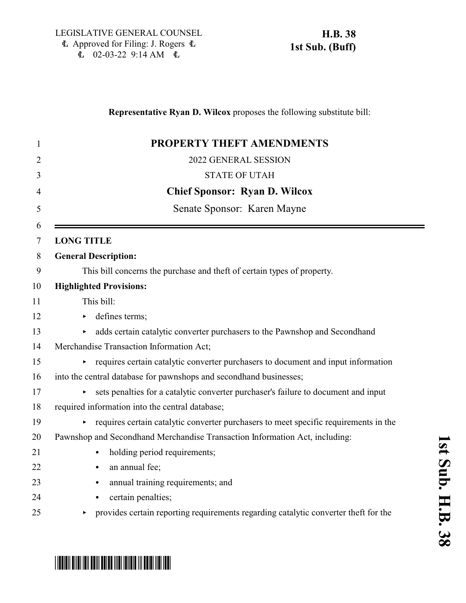## **Representative Ryan D. Wilcox** proposes the following substitute bill: 1 **PROPERTY THEFT AMENDMENTS** 2 2022 GENERAL SESSION 3 STATE OF UTAH 4 **Chief Sponsor: Ryan D. Wilcox** 5 Senate Sponsor: Karen Mayne 6 7 **LONG TITLE** 8 **General Description:** 9 This bill concerns the purchase and theft of certain types of property. 10 **Highlighted Provisions:** 11 This bill: 12 b defines terms; 13 adds certain catalytic converter purchasers to the Pawnshop and Secondhand 14 Merchandise Transaction Information Act;  $\rightarrow$  requires certain catalytic converter purchasers to document and input information 16 into the central database for pawnshops and secondhand businesses; 17 ests penalties for a catalytic converter purchaser's failure to document and input 18 required information into the central database; 19 < requires certain catalytic converter purchasers to meet specific requirements in the 20 Pawnshop and Secondhand Merchandise Transaction Information Act, including: 21 • holding period requirements; 22 • an annual fee; 23 **Community** annual training requirements; and 24 **Case Contain penalties;** 25 provides certain reporting requirements regarding catalytic converter theft for the

# <u>\* HB0038 S010 IB00 IB003 IB00 IB003 IB003 IB003 IB003 IB003 IB003 IB003 IB003 IB003 IB003 IB003 IB003 IB003 IB</u>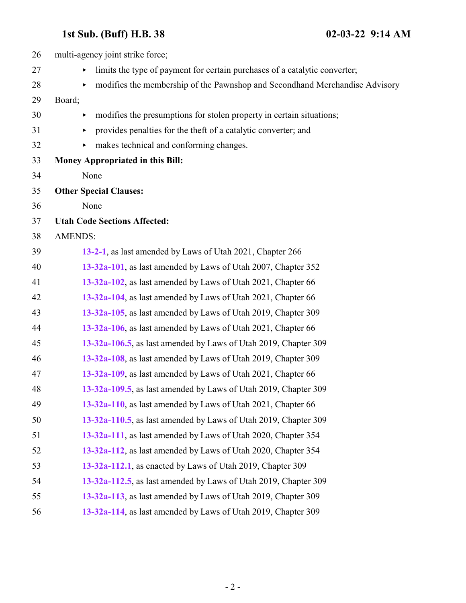| 26 | multi-agency joint strike force;                                                |
|----|---------------------------------------------------------------------------------|
| 27 | limits the type of payment for certain purchases of a catalytic converter;<br>► |
| 28 | modifies the membership of the Pawnshop and Secondhand Merchandise Advisory     |
| 29 | Board;                                                                          |
| 30 | modifies the presumptions for stolen property in certain situations;<br>Þ       |
| 31 | provides penalties for the theft of a catalytic converter; and                  |
| 32 | makes technical and conforming changes.                                         |
| 33 | Money Appropriated in this Bill:                                                |
| 34 | None                                                                            |
| 35 | <b>Other Special Clauses:</b>                                                   |
| 36 | None                                                                            |
| 37 | <b>Utah Code Sections Affected:</b>                                             |
| 38 | <b>AMENDS:</b>                                                                  |
| 39 | 13-2-1, as last amended by Laws of Utah 2021, Chapter 266                       |
| 40 | 13-32a-101, as last amended by Laws of Utah 2007, Chapter 352                   |
| 41 | 13-32a-102, as last amended by Laws of Utah 2021, Chapter 66                    |
| 42 | 13-32a-104, as last amended by Laws of Utah 2021, Chapter 66                    |
| 43 | 13-32a-105, as last amended by Laws of Utah 2019, Chapter 309                   |
| 44 | 13-32a-106, as last amended by Laws of Utah 2021, Chapter 66                    |
| 45 | 13-32a-106.5, as last amended by Laws of Utah 2019, Chapter 309                 |
| 46 | 13-32a-108, as last amended by Laws of Utah 2019, Chapter 309                   |
| 47 | 13-32a-109, as last amended by Laws of Utah 2021, Chapter 66                    |
| 48 | 13-32a-109.5, as last amended by Laws of Utah 2019, Chapter 309                 |
| 49 | 13-32a-110, as last amended by Laws of Utah 2021, Chapter 66                    |
| 50 | 13-32a-110.5, as last amended by Laws of Utah 2019, Chapter 309                 |
| 51 | 13-32a-111, as last amended by Laws of Utah 2020, Chapter 354                   |
| 52 | 13-32a-112, as last amended by Laws of Utah 2020, Chapter 354                   |
| 53 | 13-32a-112.1, as enacted by Laws of Utah 2019, Chapter 309                      |
| 54 | 13-32a-112.5, as last amended by Laws of Utah 2019, Chapter 309                 |
| 55 | 13-32a-113, as last amended by Laws of Utah 2019, Chapter 309                   |
| 56 | 13-32a-114, as last amended by Laws of Utah 2019, Chapter 309                   |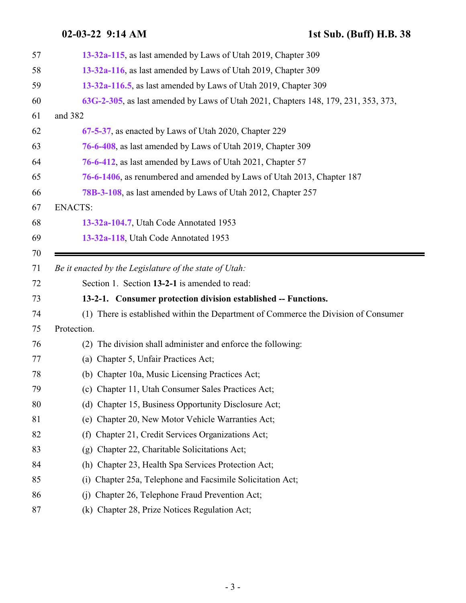<span id="page-2-0"></span>

| 57 | 13-32a-115, as last amended by Laws of Utah 2019, Chapter 309                       |
|----|-------------------------------------------------------------------------------------|
| 58 | 13-32a-116, as last amended by Laws of Utah 2019, Chapter 309                       |
| 59 | 13-32a-116.5, as last amended by Laws of Utah 2019, Chapter 309                     |
| 60 | 63G-2-305, as last amended by Laws of Utah 2021, Chapters 148, 179, 231, 353, 373,  |
| 61 | and 382                                                                             |
| 62 | 67-5-37, as enacted by Laws of Utah 2020, Chapter 229                               |
| 63 | 76-6-408, as last amended by Laws of Utah 2019, Chapter 309                         |
| 64 | 76-6-412, as last amended by Laws of Utah 2021, Chapter 57                          |
| 65 | 76-6-1406, as renumbered and amended by Laws of Utah 2013, Chapter 187              |
| 66 | 78B-3-108, as last amended by Laws of Utah 2012, Chapter 257                        |
| 67 | <b>ENACTS:</b>                                                                      |
| 68 | 13-32a-104.7, Utah Code Annotated 1953                                              |
| 69 | 13-32a-118, Utah Code Annotated 1953                                                |
| 70 |                                                                                     |
| 71 | Be it enacted by the Legislature of the state of Utah:                              |
| 72 | Section 1. Section 13-2-1 is amended to read:                                       |
|    |                                                                                     |
| 73 | 13-2-1. Consumer protection division established -- Functions.                      |
| 74 | (1) There is established within the Department of Commerce the Division of Consumer |
| 75 | Protection.                                                                         |
| 76 | The division shall administer and enforce the following:<br>(2)                     |
| 77 | (a) Chapter 5, Unfair Practices Act;                                                |
| 78 | (b) Chapter 10a, Music Licensing Practices Act;                                     |
| 79 | (c) Chapter 11, Utah Consumer Sales Practices Act;                                  |
| 80 | (d) Chapter 15, Business Opportunity Disclosure Act;                                |
| 81 | (e) Chapter 20, New Motor Vehicle Warranties Act;                                   |
| 82 | Chapter 21, Credit Services Organizations Act;<br>(f)                               |
| 83 | Chapter 22, Charitable Solicitations Act;<br>(g)                                    |
| 84 | Chapter 23, Health Spa Services Protection Act;<br>(h)                              |
| 85 | Chapter 25a, Telephone and Facsimile Solicitation Act;<br>(i)                       |
| 86 | Chapter 26, Telephone Fraud Prevention Act;<br>(i)                                  |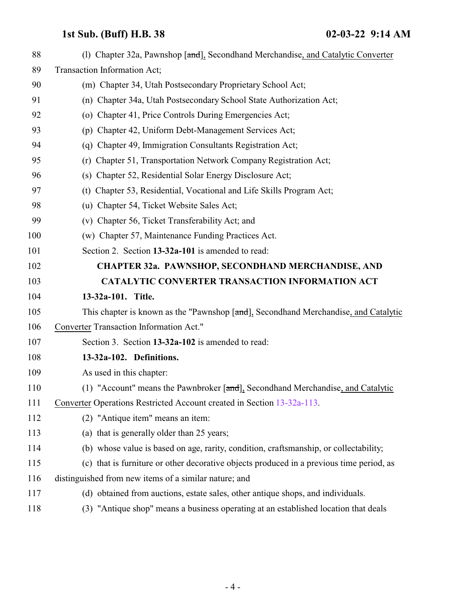<span id="page-3-1"></span><span id="page-3-0"></span>

| 88  | (1) Chapter 32a, Pawnshop [and], Secondhand Merchandise, and Catalytic Converter         |
|-----|------------------------------------------------------------------------------------------|
| 89  | Transaction Information Act;                                                             |
| 90  | (m) Chapter 34, Utah Postsecondary Proprietary School Act;                               |
| 91  | (n) Chapter 34a, Utah Postsecondary School State Authorization Act;                      |
| 92  | (o) Chapter 41, Price Controls During Emergencies Act;                                   |
| 93  | (p) Chapter 42, Uniform Debt-Management Services Act;                                    |
| 94  | Chapter 49, Immigration Consultants Registration Act;<br>(q)                             |
| 95  | (r) Chapter 51, Transportation Network Company Registration Act;                         |
| 96  | (s) Chapter 52, Residential Solar Energy Disclosure Act;                                 |
| 97  | (t) Chapter 53, Residential, Vocational and Life Skills Program Act;                     |
| 98  | (u) Chapter 54, Ticket Website Sales Act;                                                |
| 99  | (v) Chapter 56, Ticket Transferability Act; and                                          |
| 100 | (w) Chapter 57, Maintenance Funding Practices Act.                                       |
| 101 | Section 2. Section 13-32a-101 is amended to read:                                        |
| 102 | <b>CHAPTER 32a. PAWNSHOP, SECONDHAND MERCHANDISE, AND</b>                                |
| 103 | <b>CATALYTIC CONVERTER TRANSACTION INFORMATION ACT</b>                                   |
| 104 | 13-32a-101. Title.                                                                       |
| 105 | This chapter is known as the "Pawnshop [and], Secondhand Merchandise, and Catalytic      |
| 106 | Converter Transaction Information Act."                                                  |
| 107 | Section 3. Section 13-32a-102 is amended to read:                                        |
| 108 | 13-32a-102. Definitions.                                                                 |
| 109 | As used in this chapter:                                                                 |
| 110 | (1) "Account" means the Pawnbroker [and], Secondhand Merchandise, and Catalytic          |
| 111 | Converter Operations Restricted Account created in Section 13-32a-113.                   |
| 112 | (2) "Antique item" means an item:                                                        |
| 113 | (a) that is generally older than 25 years;                                               |
| 114 | (b) whose value is based on age, rarity, condition, craftsmanship, or collectability;    |
| 115 | (c) that is furniture or other decorative objects produced in a previous time period, as |
| 116 | distinguished from new items of a similar nature; and                                    |
| 117 | (d) obtained from auctions, estate sales, other antique shops, and individuals.          |
| 118 | "Antique shop" means a business operating at an established location that deals<br>(3)   |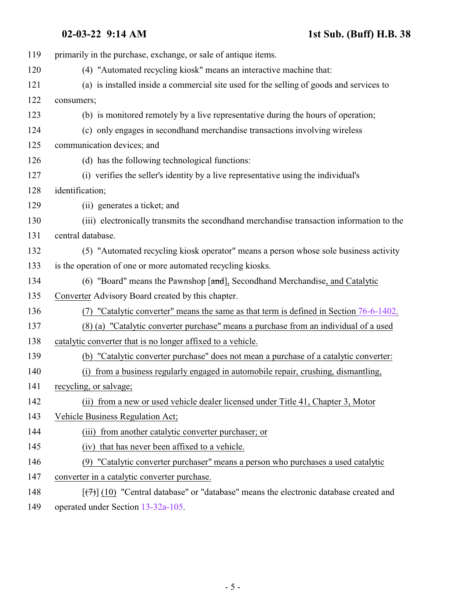| 119 | primarily in the purchase, exchange, or sale of antique items.                                     |
|-----|----------------------------------------------------------------------------------------------------|
| 120 | (4) "Automated recycling kiosk" means an interactive machine that:                                 |
| 121 | (a) is installed inside a commercial site used for the selling of goods and services to            |
| 122 | consumers;                                                                                         |
| 123 | (b) is monitored remotely by a live representative during the hours of operation;                  |
| 124 | (c) only engages in secondhand merchandise transactions involving wireless                         |
| 125 | communication devices; and                                                                         |
| 126 | (d) has the following technological functions:                                                     |
| 127 | (i) verifies the seller's identity by a live representative using the individual's                 |
| 128 | identification;                                                                                    |
| 129 | (ii) generates a ticket; and                                                                       |
| 130 | (iii) electronically transmits the secondhand merchandise transaction information to the           |
| 131 | central database.                                                                                  |
| 132 | (5) "Automated recycling kiosk operator" means a person whose sole business activity               |
| 133 | is the operation of one or more automated recycling kiosks.                                        |
| 134 | (6) "Board" means the Pawnshop [and], Secondhand Merchandise, and Catalytic                        |
| 135 | Converter Advisory Board created by this chapter.                                                  |
| 136 | (7) "Catalytic converter" means the same as that term is defined in Section 76-6-1402.             |
| 137 | (8) (a) "Catalytic converter purchase" means a purchase from an individual of a used               |
| 138 | catalytic converter that is no longer affixed to a vehicle.                                        |
| 139 | (b) "Catalytic converter purchase" does not mean a purchase of a catalytic converter:              |
| 140 | (i) from a business regularly engaged in automobile repair, crushing, dismantling,                 |
| 141 | recycling, or salvage;                                                                             |
| 142 | (ii) from a new or used vehicle dealer licensed under Title 41, Chapter 3, Motor                   |
| 143 | Vehicle Business Regulation Act;                                                                   |
| 144 | (iii) from another catalytic converter purchaser; or                                               |
| 145 | (iv) that has never been affixed to a vehicle.                                                     |
| 146 | (9) "Catalytic converter purchaser" means a person who purchases a used catalytic                  |
| 147 | converter in a catalytic converter purchase.                                                       |
| 148 | $[\overline{(+)}]$ (10) "Central database" or "database" means the electronic database created and |
| 149 | operated under Section 13-32a-105.                                                                 |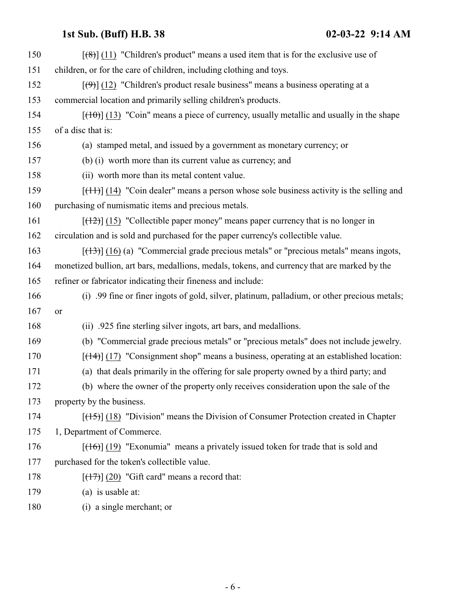| 150 | $\left[\frac{1}{2}\left(11\right)\right]$ "Children's product" means a used item that is for the exclusive use of |
|-----|-------------------------------------------------------------------------------------------------------------------|
| 151 | children, or for the care of children, including clothing and toys.                                               |
| 152 | $[\langle 9 \rangle]$ (12) "Children's product resale business" means a business operating at a                   |
| 153 | commercial location and primarily selling children's products.                                                    |
| 154 | $[\frac{(10)}{(13)}]$ (13) "Coin" means a piece of currency, usually metallic and usually in the shape            |
| 155 | of a disc that is:                                                                                                |
| 156 | (a) stamped metal, and issued by a government as monetary currency; or                                            |
| 157 | (b) (i) worth more than its current value as currency; and                                                        |
| 158 | (ii) worth more than its metal content value.                                                                     |
| 159 | $[\frac{(11)}{(14)}]$ (14) "Coin dealer" means a person whose sole business activity is the selling and           |
| 160 | purchasing of numismatic items and precious metals.                                                               |
| 161 | $[$ (12) $]$ (15) "Collectible paper money" means paper currency that is no longer in                             |
| 162 | circulation and is sold and purchased for the paper currency's collectible value.                                 |
| 163 | $[ (13) ]$ (16) (a) "Commercial grade precious metals" or "precious metals" means ingots,                         |
| 164 | monetized bullion, art bars, medallions, medals, tokens, and currency that are marked by the                      |
| 165 | refiner or fabricator indicating their fineness and include:                                                      |
| 166 | (i) .99 fine or finer ingots of gold, silver, platinum, palladium, or other precious metals;                      |
| 167 | <b>or</b>                                                                                                         |
| 168 | (ii) .925 fine sterling silver ingots, art bars, and medallions.                                                  |
| 169 | (b) "Commercial grade precious metals" or "precious metals" does not include jewelry.                             |
| 170 | $[ (14) ]$ (17) "Consignment shop" means a business, operating at an established location:                        |
| 171 | (a) that deals primarily in the offering for sale property owned by a third party; and                            |
| 172 | (b) where the owner of the property only receives consideration upon the sale of the                              |
| 173 | property by the business.                                                                                         |
| 174 | $[$ (15) $]$ (18) "Division" means the Division of Consumer Protection created in Chapter                         |
| 175 | 1, Department of Commerce.                                                                                        |
| 176 | $[ (16) ]$ (19) "Exonumia" means a privately issued token for trade that is sold and                              |
| 177 | purchased for the token's collectible value.                                                                      |
| 178 | $[ (17) ] (20)$ "Gift card" means a record that:                                                                  |
| 179 | (a) is usable at:                                                                                                 |

180 (i) a single merchant; or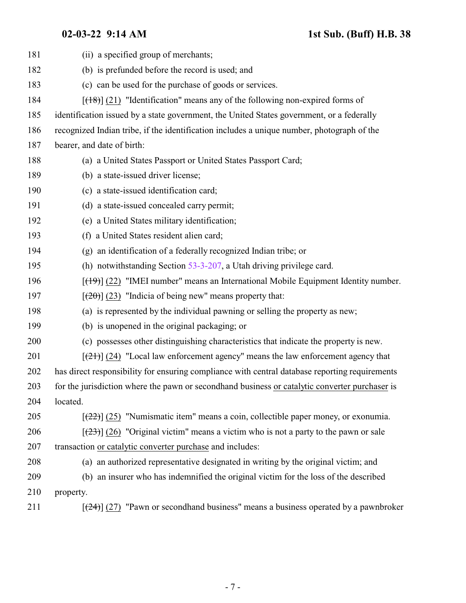| 181 | (ii) a specified group of merchants;                                                            |
|-----|-------------------------------------------------------------------------------------------------|
| 182 | (b) is prefunded before the record is used; and                                                 |
| 183 | (c) can be used for the purchase of goods or services.                                          |
| 184 | $[ (18) ]$ (21) "Identification" means any of the following non-expired forms of                |
| 185 | identification issued by a state government, the United States government, or a federally       |
| 186 | recognized Indian tribe, if the identification includes a unique number, photograph of the      |
| 187 | bearer, and date of birth:                                                                      |
| 188 | (a) a United States Passport or United States Passport Card;                                    |
| 189 | (b) a state-issued driver license;                                                              |
| 190 | (c) a state-issued identification card;                                                         |
| 191 | (d) a state-issued concealed carry permit;                                                      |
| 192 | (e) a United States military identification;                                                    |
| 193 | (f) a United States resident alien card;                                                        |
| 194 | (g) an identification of a federally recognized Indian tribe; or                                |
| 195 | (h) notwithstanding Section $53-3-207$ , a Utah driving privilege card.                         |
| 196 | $[$ (49)] (22) "IMEI number" means an International Mobile Equipment Identity number.           |
| 197 | $[\frac{1}{20}]$ (23) "Indicia of being new" means property that:                               |
| 198 | (a) is represented by the individual pawning or selling the property as new;                    |
| 199 | (b) is unopened in the original packaging; or                                                   |
| 200 | (c) possesses other distinguishing characteristics that indicate the property is new.           |
| 201 | $[\frac{(21)}{(24)}]$ (24) "Local law enforcement agency" means the law enforcement agency that |
| 202 | has direct responsibility for ensuring compliance with central database reporting requirements  |
| 203 | for the jurisdiction where the pawn or secondhand business or catalytic converter purchaser is  |
| 204 | located.                                                                                        |
| 205 | $[222]$ (25) "Numismatic item" means a coin, collectible paper money, or exonumia.              |
| 206 | $[23]$ (26) "Original victim" means a victim who is not a party to the pawn or sale             |
| 207 | transaction or catalytic converter purchase and includes:                                       |
| 208 | (a) an authorized representative designated in writing by the original victim; and              |
| 209 | (b) an insurer who has indemnified the original victim for the loss of the described            |
| 210 | property.                                                                                       |
| 211 | $[24]$ (27) "Pawn or second hand business" means a business operated by a pawn broker           |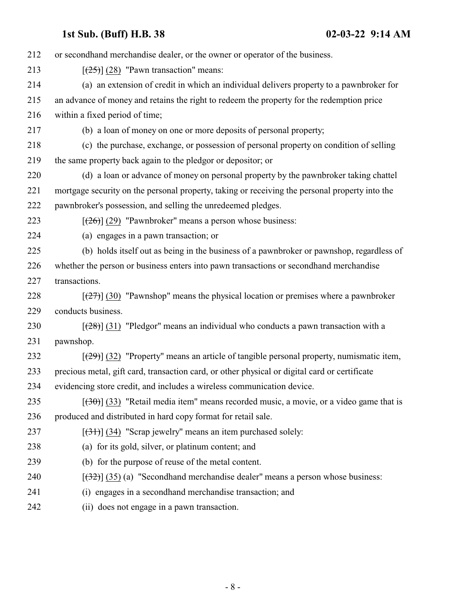| 212 | or second hand merchandise dealer, or the owner or operator of the business.                      |
|-----|---------------------------------------------------------------------------------------------------|
| 213 | $[\frac{(25)}{(28)}]$ (28) "Pawn transaction" means:                                              |
| 214 | (a) an extension of credit in which an individual delivers property to a pawnbroker for           |
| 215 | an advance of money and retains the right to redeem the property for the redemption price         |
| 216 | within a fixed period of time;                                                                    |
| 217 | (b) a loan of money on one or more deposits of personal property;                                 |
| 218 | (c) the purchase, exchange, or possession of personal property on condition of selling            |
| 219 | the same property back again to the pledgor or depositor; or                                      |
| 220 | (d) a loan or advance of money on personal property by the pawnbroker taking chattel              |
| 221 | mortgage security on the personal property, taking or receiving the personal property into the    |
| 222 | pawnbroker's possession, and selling the unredeemed pledges.                                      |
| 223 | $[\frac{126}{2}]$ (29) "Pawnbroker" means a person whose business:                                |
| 224 | (a) engages in a pawn transaction; or                                                             |
| 225 | (b) holds itself out as being in the business of a pawnbroker or pawnshop, regardless of          |
| 226 | whether the person or business enters into pawn transactions or secondhand merchandise            |
| 227 | transactions.                                                                                     |
| 228 | $[27]$ (30) "Pawnshop" means the physical location or premises where a pawnbroker                 |
| 229 | conducts business.                                                                                |
| 230 | $[\frac{(28)}{(31)}]$ "Pledgor" means an individual who conducts a pawn transaction with a        |
| 231 | pawnshop.                                                                                         |
| 232 | $[\frac{(29)}{(32)}]$ "Property" means an article of tangible personal property, numismatic item, |
| 233 | precious metal, gift card, transaction card, or other physical or digital card or certificate     |
| 234 | evidencing store credit, and includes a wireless communication device.                            |
| 235 | $[30]$ (33) "Retail media item" means recorded music, a movie, or a video game that is            |
| 236 | produced and distributed in hard copy format for retail sale.                                     |
| 237 | $[34]$ (34) "Scrap jewelry" means an item purchased solely:                                       |
| 238 | (a) for its gold, silver, or platinum content; and                                                |
| 239 | (b) for the purpose of reuse of the metal content.                                                |
| 240 | $[\frac{(32)}{(35)}]$ (a) "Secondhand merchandise dealer" means a person whose business:          |
| 241 | engages in a secondhand merchandise transaction; and<br>(i)                                       |
| 242 | (ii) does not engage in a pawn transaction.                                                       |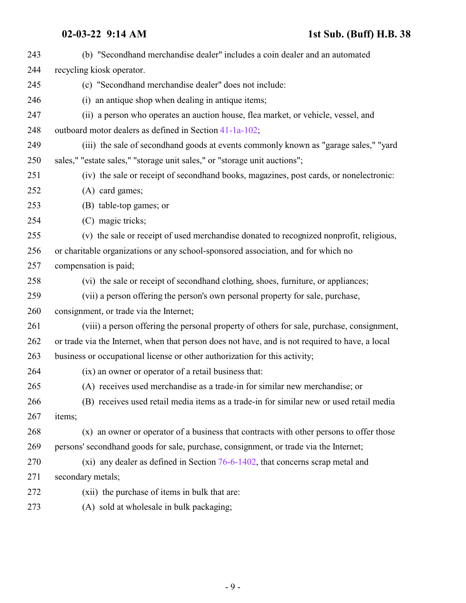| 243 | (b) "Secondhand merchandise dealer" includes a coin dealer and an automated                     |
|-----|-------------------------------------------------------------------------------------------------|
| 244 | recycling kiosk operator.                                                                       |
| 245 | (c) "Secondhand merchandise dealer" does not include:                                           |
| 246 | (i) an antique shop when dealing in antique items;                                              |
| 247 | (ii) a person who operates an auction house, flea market, or vehicle, vessel, and               |
| 248 | outboard motor dealers as defined in Section 41-1a-102;                                         |
| 249 | (iii) the sale of secondhand goods at events commonly known as "garage sales," "yard            |
| 250 | sales," "estate sales," "storage unit sales," or "storage unit auctions";                       |
| 251 | (iv) the sale or receipt of secondhand books, magazines, post cards, or nonelectronic:          |
| 252 | (A) card games;                                                                                 |
| 253 | (B) table-top games; or                                                                         |
| 254 | (C) magic tricks;                                                                               |
| 255 | (v) the sale or receipt of used merchandise donated to recognized nonprofit, religious,         |
| 256 | or charitable organizations or any school-sponsored association, and for which no               |
| 257 | compensation is paid;                                                                           |
| 258 | (vi) the sale or receipt of secondhand clothing, shoes, furniture, or appliances;               |
| 259 | (vii) a person offering the person's own personal property for sale, purchase,                  |
| 260 | consignment, or trade via the Internet;                                                         |
| 261 | (viii) a person offering the personal property of others for sale, purchase, consignment,       |
| 262 | or trade via the Internet, when that person does not have, and is not required to have, a local |
| 263 | business or occupational license or other authorization for this activity;                      |
| 264 | (ix) an owner or operator of a retail business that:                                            |
| 265 | (A) receives used merchandise as a trade-in for similar new merchandise; or                     |
| 266 | (B) receives used retail media items as a trade-in for similar new or used retail media         |
| 267 | items;                                                                                          |
| 268 | (x) an owner or operator of a business that contracts with other persons to offer those         |
| 269 | persons' secondhand goods for sale, purchase, consignment, or trade via the Internet;           |
| 270 | $(xi)$ any dealer as defined in Section 76-6-1402, that concerns scrap metal and                |
| 271 | secondary metals;                                                                               |
| 272 | (xii) the purchase of items in bulk that are:                                                   |
| 273 | (A) sold at wholesale in bulk packaging;                                                        |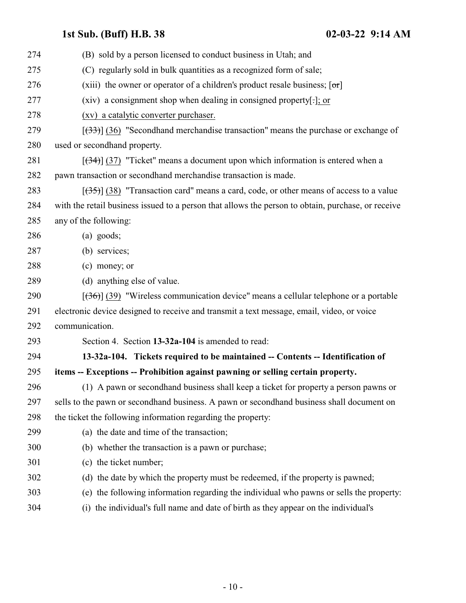<span id="page-9-0"></span>

| 274 | (B) sold by a person licensed to conduct business in Utah; and                                     |
|-----|----------------------------------------------------------------------------------------------------|
| 275 | (C) regularly sold in bulk quantities as a recognized form of sale;                                |
| 276 | (xiii) the owner or operator of a children's product resale business; $[\sigma r]$                 |
| 277 | (xiv) a consignment shop when dealing in consigned property[.]; or                                 |
| 278 | (xv) a catalytic converter purchaser.                                                              |
| 279 | $[333]$ (36) "Secondhand merchandise transaction" means the purchase or exchange of                |
| 280 | used or secondhand property.                                                                       |
| 281 | $[34]$ (37) "Ticket" means a document upon which information is entered when a                     |
| 282 | pawn transaction or secondhand merchandise transaction is made.                                    |
| 283 | $[35]$ (38) "Transaction card" means a card, code, or other means of access to a value             |
| 284 | with the retail business issued to a person that allows the person to obtain, purchase, or receive |
| 285 | any of the following:                                                                              |
| 286 | $(a)$ goods;                                                                                       |
| 287 | (b) services;                                                                                      |
| 288 | (c) money; or                                                                                      |
| 289 | (d) anything else of value.                                                                        |
| 290 | $[\frac{(36)}{(39)}]$ "Wireless communication device" means a cellular telephone or a portable     |
| 291 | electronic device designed to receive and transmit a text message, email, video, or voice          |
| 292 | communication.                                                                                     |
| 293 | Section 4. Section 13-32a-104 is amended to read:                                                  |
| 294 | 13-32a-104. Tickets required to be maintained -- Contents -- Identification of                     |
| 295 | items -- Exceptions -- Prohibition against pawning or selling certain property.                    |
| 296 | (1) A pawn or second hand business shall keep a ticket for property a person pawns or              |
| 297 | sells to the pawn or secondhand business. A pawn or secondhand business shall document on          |
| 298 | the ticket the following information regarding the property:                                       |
| 299 | (a) the date and time of the transaction;                                                          |
| 300 | (b) whether the transaction is a pawn or purchase;                                                 |
| 301 | (c) the ticket number;                                                                             |
| 302 | (d) the date by which the property must be redeemed, if the property is pawned;                    |
| 303 | (e) the following information regarding the individual who pawns or sells the property:            |
| 304 | the individual's full name and date of birth as they appear on the individual's<br>(i)             |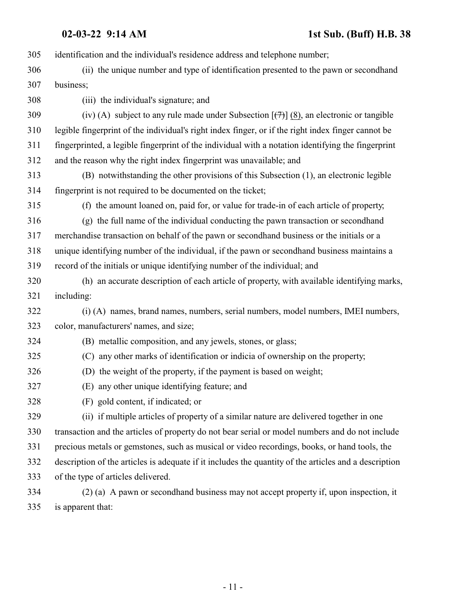identification and the individual's residence address and telephone number; (ii) the unique number and type of identification presented to the pawn or secondhand business; (iii) the individual's signature; and 309 (iv) (A) subject to any rule made under Subsection  $[\frac{(7)}{(8)}]$ , an electronic or tangible legible fingerprint of the individual's right index finger, or if the right index finger cannot be fingerprinted, a legible fingerprint of the individual with a notation identifying the fingerprint and the reason why the right index fingerprint was unavailable; and (B) notwithstanding the other provisions of this Subsection (1), an electronic legible fingerprint is not required to be documented on the ticket; (f) the amount loaned on, paid for, or value for trade-in of each article of property; (g) the full name of the individual conducting the pawn transaction or secondhand merchandise transaction on behalf of the pawn or secondhand business or the initials or a unique identifying number of the individual, if the pawn or secondhand business maintains a record of the initials or unique identifying number of the individual; and (h) an accurate description of each article of property, with available identifying marks, including: (i) (A) names, brand names, numbers, serial numbers, model numbers, IMEI numbers, color, manufacturers' names, and size; (B) metallic composition, and any jewels, stones, or glass; (C) any other marks of identification or indicia of ownership on the property; (D) the weight of the property, if the payment is based on weight; (E) any other unique identifying feature; and (F) gold content, if indicated; or (ii) if multiple articles of property of a similar nature are delivered together in one transaction and the articles of property do not bear serial or model numbers and do not include precious metals or gemstones, such as musical or video recordings, books, or hand tools, the description of the articles is adequate if it includes the quantity of the articles and a description of the type of articles delivered. (2) (a) A pawn or secondhand business may not accept property if, upon inspection, it

is apparent that: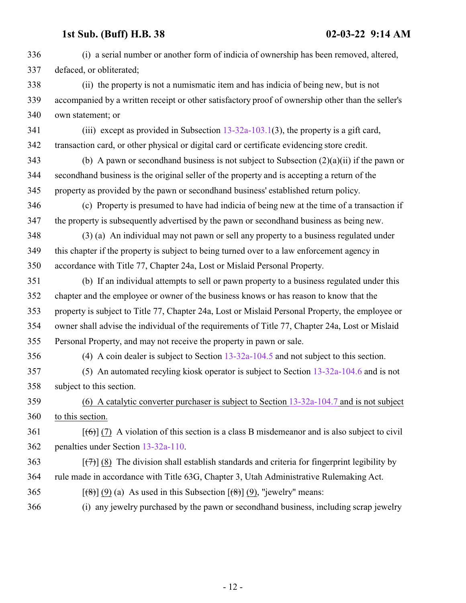| 336 | (i) a serial number or another form of indicia of ownership has been removed, altered,                                                     |
|-----|--------------------------------------------------------------------------------------------------------------------------------------------|
| 337 | defaced, or obliterated;                                                                                                                   |
| 338 | (ii) the property is not a numismatic item and has indicia of being new, but is not                                                        |
| 339 | accompanied by a written receipt or other satisfactory proof of ownership other than the seller's                                          |
| 340 | own statement; or                                                                                                                          |
| 341 | (iii) except as provided in Subsection $13-32a-103.1(3)$ , the property is a gift card,                                                    |
| 342 | transaction card, or other physical or digital card or certificate evidencing store credit.                                                |
| 343 | (b) A pawn or second hand business is not subject to Subsection $(2)(a)(ii)$ if the pawn or                                                |
| 344 | second hand business is the original seller of the property and is accepting a return of the                                               |
| 345 | property as provided by the pawn or secondhand business' established return policy.                                                        |
| 346 | (c) Property is presumed to have had indicia of being new at the time of a transaction if                                                  |
| 347 | the property is subsequently advertised by the pawn or second hand business as being new.                                                  |
| 348 | (3) (a) An individual may not pawn or sell any property to a business regulated under                                                      |
| 349 | this chapter if the property is subject to being turned over to a law enforcement agency in                                                |
| 350 | accordance with Title 77, Chapter 24a, Lost or Mislaid Personal Property.                                                                  |
| 351 | (b) If an individual attempts to sell or pawn property to a business regulated under this                                                  |
| 352 | chapter and the employee or owner of the business knows or has reason to know that the                                                     |
| 353 | property is subject to Title 77, Chapter 24a, Lost or Mislaid Personal Property, the employee or                                           |
| 354 | owner shall advise the individual of the requirements of Title 77, Chapter 24a, Lost or Mislaid                                            |
| 355 | Personal Property, and may not receive the property in pawn or sale.                                                                       |
| 356 | (4) A coin dealer is subject to Section $13-32a-104.5$ and not subject to this section.                                                    |
| 357 | (5) An automated recyling kiosk operator is subject to Section $13-32a-104.6$ and is not                                                   |
| 358 | subject to this section.                                                                                                                   |
| 359 | (6) A catalytic converter purchaser is subject to Section $13-32a-104.7$ and is not subject                                                |
| 360 | to this section.                                                                                                                           |
| 361 | $[\text{6}]}$ (7) A violation of this section is a class B misdemeanor and is also subject to civil                                        |
| 362 | penalties under Section 13-32a-110.                                                                                                        |
| 363 | $[\overline{(+)}]$ (8) The division shall establish standards and criteria for fingerprint legibility by                                   |
| 364 | rule made in accordance with Title 63G, Chapter 3, Utah Administrative Rulemaking Act.                                                     |
| 365 | $\left[\frac{1}{2}\left(3\right)\right]$ (9) (a) As used in this Subsection $\left[\frac{1}{2}\left(4\right)\right]$ (9), "jewelry" means: |
| 366 | (i) any jewelry purchased by the pawn or second hand business, including scrap jewelry                                                     |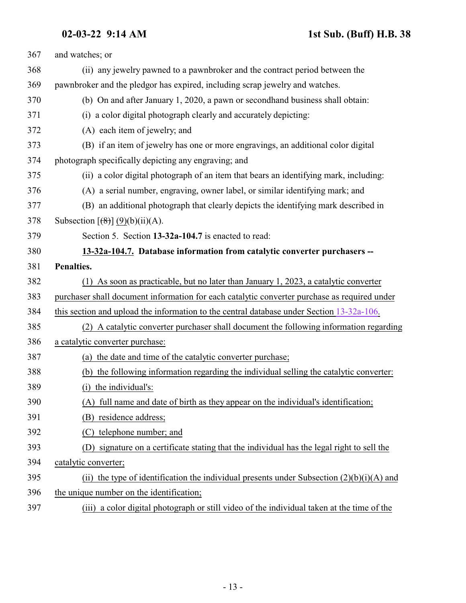<span id="page-12-0"></span>

| 367 | and watches; or                                                                               |
|-----|-----------------------------------------------------------------------------------------------|
| 368 | (ii) any jewelry pawned to a pawnbroker and the contract period between the                   |
| 369 | pawnbroker and the pledgor has expired, including scrap jewelry and watches.                  |
| 370 | (b) On and after January 1, 2020, a pawn or secondhand business shall obtain:                 |
| 371 | (i) a color digital photograph clearly and accurately depicting:                              |
| 372 | (A) each item of jewelry; and                                                                 |
| 373 | (B) if an item of jewelry has one or more engravings, an additional color digital             |
| 374 | photograph specifically depicting any engraving; and                                          |
| 375 | (ii) a color digital photograph of an item that bears an identifying mark, including:         |
| 376 | (A) a serial number, engraving, owner label, or similar identifying mark; and                 |
| 377 | (B) an additional photograph that clearly depicts the identifying mark described in           |
| 378 | Subsection $\left[\frac{1}{2}\right] (9)(b)(ii)(A)$ .                                         |
| 379 | Section 5. Section 13-32a-104.7 is enacted to read:                                           |
| 380 | 13-32a-104.7. Database information from catalytic converter purchasers --                     |
| 381 | Penalties.                                                                                    |
| 382 | (1) As soon as practicable, but no later than January 1, 2023, a catalytic converter          |
| 383 | purchaser shall document information for each catalytic converter purchase as required under  |
| 384 | this section and upload the information to the central database under Section 13-32a-106.     |
| 385 | (2) A catalytic converter purchaser shall document the following information regarding        |
| 386 | a catalytic converter purchase:                                                               |
| 387 | (a) the date and time of the catalytic converter purchase;                                    |
| 388 | (b) the following information regarding the individual selling the catalytic converter:       |
| 389 | (i) the individual's:                                                                         |
| 390 | full name and date of birth as they appear on the individual's identification;                |
| 391 | (B) residence address;                                                                        |
| 392 | (C) telephone number; and                                                                     |
| 393 | signature on a certificate stating that the individual has the legal right to sell the<br>(D) |
| 394 | catalytic converter;                                                                          |
| 395 | (ii) the type of identification the individual presents under Subsection $(2)(b)(i)(A)$ and   |
| 396 | the unique number on the identification;                                                      |
| 397 | a color digital photograph or still video of the individual taken at the time of the<br>(iii) |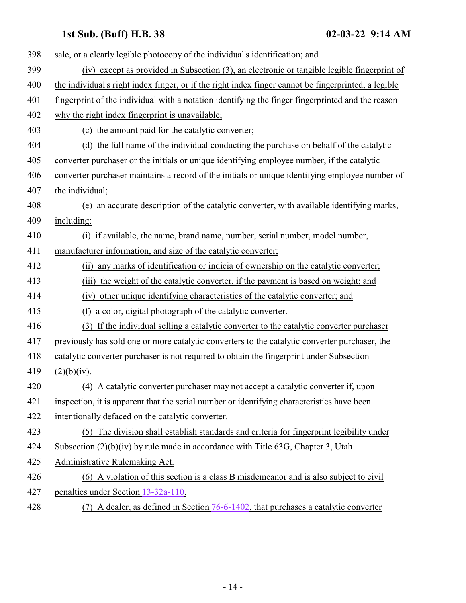| 398 | sale, or a clearly legible photocopy of the individual's identification; and                         |
|-----|------------------------------------------------------------------------------------------------------|
| 399 | (iv) except as provided in Subsection (3), an electronic or tangible legible fingerprint of          |
| 400 | the individual's right index finger, or if the right index finger cannot be fingerprinted, a legible |
| 401 | fingerprint of the individual with a notation identifying the finger fingerprinted and the reason    |
| 402 | why the right index fingerprint is unavailable;                                                      |
| 403 | (c) the amount paid for the catalytic converter;                                                     |
| 404 | (d) the full name of the individual conducting the purchase on behalf of the catalytic               |
| 405 | converter purchaser or the initials or unique identifying employee number, if the catalytic          |
| 406 | converter purchaser maintains a record of the initials or unique identifying employee number of      |
| 407 | the individual;                                                                                      |
| 408 | an accurate description of the catalytic converter, with available identifying marks,<br>(e)         |
| 409 | including:                                                                                           |
| 410 | (i) if available, the name, brand name, number, serial number, model number,                         |
| 411 | manufacturer information, and size of the catalytic converter;                                       |
| 412 | any marks of identification or indicia of ownership on the catalytic converter;<br>(ii)              |
| 413 | the weight of the catalytic converter, if the payment is based on weight; and<br>(iii)               |
| 414 | (iv) other unique identifying characteristics of the catalytic converter; and                        |
| 415 | a color, digital photograph of the catalytic converter.<br>(f)                                       |
| 416 | (3) If the individual selling a catalytic converter to the catalytic converter purchaser             |
| 417 | previously has sold one or more catalytic converters to the catalytic converter purchaser, the       |
| 418 | catalytic converter purchaser is not required to obtain the fingerprint under Subsection             |
| 419 | (2)(b)(iv).                                                                                          |
| 420 | (4) A catalytic converter purchaser may not accept a catalytic converter if, upon                    |
| 421 | inspection, it is apparent that the serial number or identifying characteristics have been           |
| 422 | intentionally defaced on the catalytic converter.                                                    |
| 423 | (5) The division shall establish standards and criteria for fingerprint legibility under             |
| 424 | Subsection $(2)(b)(iv)$ by rule made in accordance with Title 63G, Chapter 3, Utah                   |
| 425 | Administrative Rulemaking Act.                                                                       |
| 426 | (6) A violation of this section is a class B misdemeanor and is also subject to civil                |
| 427 | penalties under Section 13-32a-110.                                                                  |
| 428 | A dealer, as defined in Section 76-6-1402, that purchases a catalytic converter<br>(7)               |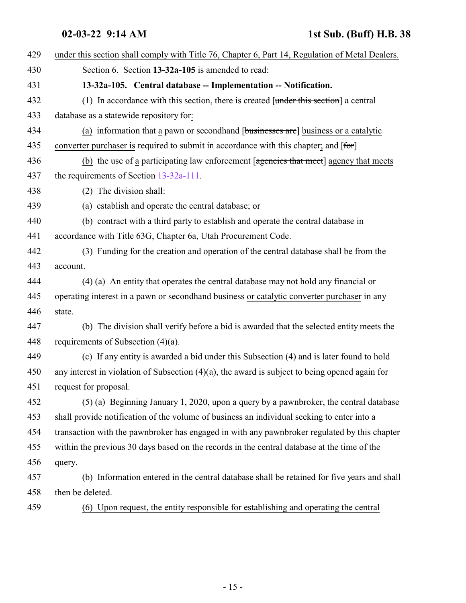<span id="page-14-0"></span>

| 429 | under this section shall comply with Title 76, Chapter 6, Part 14, Regulation of Metal Dealers.   |
|-----|---------------------------------------------------------------------------------------------------|
| 430 | Section 6. Section 13-32a-105 is amended to read:                                                 |
| 431 | 13-32a-105. Central database -- Implementation -- Notification.                                   |
| 432 | (1) In accordance with this section, there is created $[$ under this section] a central           |
| 433 | database as a statewide repository for:                                                           |
| 434 | (a) information that a pawn or second hand [businesses are] business or a catalytic               |
| 435 | converter purchaser is required to submit in accordance with this chapter; and [for]              |
| 436 | (b) the use of a participating law enforcement [agencies that meet] agency that meets             |
| 437 | the requirements of Section $13-32a-111$ .                                                        |
| 438 | (2) The division shall:                                                                           |
| 439 | (a) establish and operate the central database; or                                                |
| 440 | (b) contract with a third party to establish and operate the central database in                  |
| 441 | accordance with Title 63G, Chapter 6a, Utah Procurement Code.                                     |
| 442 | (3) Funding for the creation and operation of the central database shall be from the              |
| 443 | account.                                                                                          |
| 444 | (4) (a) An entity that operates the central database may not hold any financial or                |
| 445 | operating interest in a pawn or secondhand business or catalytic converter purchaser in any       |
| 446 | state.                                                                                            |
| 447 | (b) The division shall verify before a bid is awarded that the selected entity meets the          |
| 448 | requirements of Subsection $(4)(a)$ .                                                             |
| 449 | (c) If any entity is awarded a bid under this Subsection (4) and is later found to hold           |
| 450 | any interest in violation of Subsection $(4)(a)$ , the award is subject to being opened again for |
| 451 | request for proposal.                                                                             |
| 452 | (5) (a) Beginning January 1, 2020, upon a query by a pawnbroker, the central database             |
| 453 | shall provide notification of the volume of business an individual seeking to enter into a        |
| 454 | transaction with the pawnbroker has engaged in with any pawnbroker regulated by this chapter      |
| 455 | within the previous 30 days based on the records in the central database at the time of the       |
| 456 | query.                                                                                            |
| 457 | (b) Information entered in the central database shall be retained for five years and shall        |
| 458 | then be deleted.                                                                                  |
| 459 | (6) Upon request, the entity responsible for establishing and operating the central               |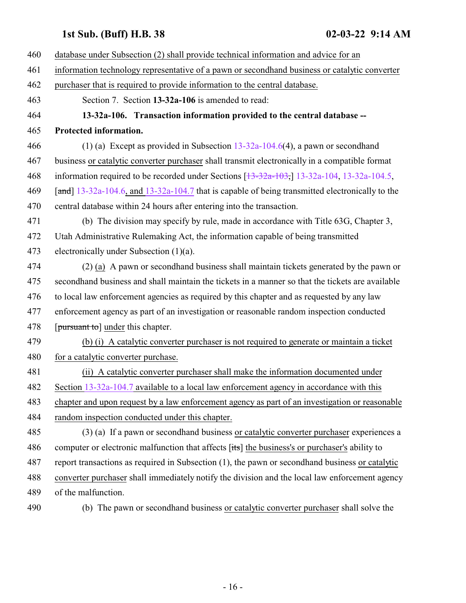- <span id="page-15-0"></span> database under Subsection (2) shall provide technical information and advice for an information technology representative of a pawn or secondhand business or catalytic converter purchaser that is required to provide information to the central database. Section 7. Section **13-32a-106** is amended to read: **13-32a-106. Transaction information provided to the central database -- Protected information.** (1) (a) Except as provided in Subsection [13-32a-104.6](http://le.utah.gov/UtahCode/SectionLookup.jsp?section=13-32a-104.6&session=2022GS)(4), a pawn or secondhand business or catalytic converter purchaser shall transmit electronically in a compatible format information required to be recorded under Sections [\[13-32a-103](http://le.utah.gov/UtahCode/SectionLookup.jsp?section=13-32a-103&session=2022GS),] [13-32a-104](#page-9-0), [13-32a-104.5](http://le.utah.gov/UtahCode/SectionLookup.jsp?section=13-32a-104.5&session=2022GS), [and] [13-32a-104.6](http://le.utah.gov/UtahCode/SectionLookup.jsp?section=13-32a-104.6&session=2022GS), and [13-32a-104.7](#page-12-0) that is capable of being transmitted electronically to the central database within 24 hours after entering into the transaction. (b) The division may specify by rule, made in accordance with Title 63G, Chapter 3, Utah Administrative Rulemaking Act, the information capable of being transmitted electronically under Subsection (1)(a). (2) (a) A pawn or secondhand business shall maintain tickets generated by the pawn or secondhand business and shall maintain the tickets in a manner so that the tickets are available to local law enforcement agencies as required by this chapter and as requested by any law enforcement agency as part of an investigation or reasonable random inspection conducted 478 [pursuant to] under this chapter. (b) (i) A catalytic converter purchaser is not required to generate or maintain a ticket 480 for a catalytic converter purchase. (ii) A catalytic converter purchaser shall make the information documented under Section [13-32a-104.7](#page-12-0) available to a local law enforcement agency in accordance with this chapter and upon request by a law enforcement agency as part of an investigation or reasonable random inspection conducted under this chapter. (3) (a) If a pawn or secondhand business or catalytic converter purchaser experiences a 486 computer or electronic malfunction that affects [its] the business's or purchaser's ability to report transactions as required in Subsection (1), the pawn or secondhand business or catalytic converter purchaser shall immediately notify the division and the local law enforcement agency of the malfunction.
- 

(b) The pawn or secondhand business or catalytic converter purchaser shall solve the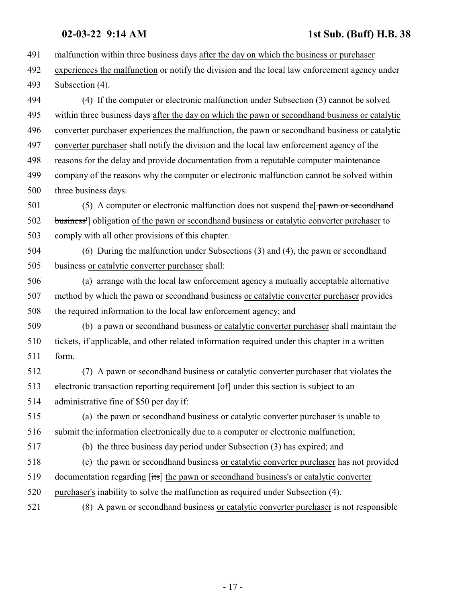malfunction within three business days after the day on which the business or purchaser experiences the malfunction or notify the division and the local law enforcement agency under Subsection (4). (4) If the computer or electronic malfunction under Subsection (3) cannot be solved within three business days after the day on which the pawn or secondhand business or catalytic converter purchaser experiences the malfunction, the pawn or secondhand business or catalytic converter purchaser shall notify the division and the local law enforcement agency of the reasons for the delay and provide documentation from a reputable computer maintenance company of the reasons why the computer or electronic malfunction cannot be solved within three business days. 501 (5) A computer or electronic malfunction does not suspend the  $\frac{1}{2}$  pawn or second hand business'] obligation of the pawn or secondhand business or catalytic converter purchaser to comply with all other provisions of this chapter. (6) During the malfunction under Subsections (3) and (4), the pawn or secondhand business or catalytic converter purchaser shall: (a) arrange with the local law enforcement agency a mutually acceptable alternative method by which the pawn or secondhand business or catalytic converter purchaser provides the required information to the local law enforcement agency; and (b) a pawn or secondhand business or catalytic converter purchaser shall maintain the tickets, if applicable, and other related information required under this chapter in a written form. (7) A pawn or secondhand business or catalytic converter purchaser that violates the electronic transaction reporting requirement [of] under this section is subject to an administrative fine of \$50 per day if: (a) the pawn or secondhand business or catalytic converter purchaser is unable to submit the information electronically due to a computer or electronic malfunction; (b) the three business day period under Subsection (3) has expired; and (c) the pawn or secondhand business or catalytic converter purchaser has not provided documentation regarding [its] the pawn or secondhand business's or catalytic converter purchaser's inability to solve the malfunction as required under Subsection (4). (8) A pawn or secondhand business or catalytic converter purchaser is not responsible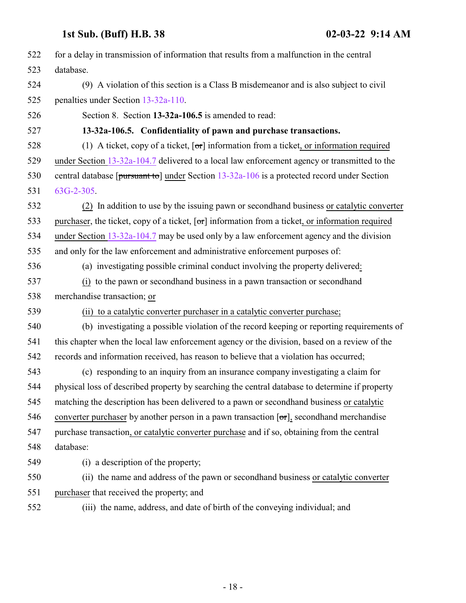<span id="page-17-0"></span>

| 522 | for a delay in transmission of information that results from a malfunction in the central            |
|-----|------------------------------------------------------------------------------------------------------|
| 523 | database.                                                                                            |
| 524 | (9) A violation of this section is a Class B misdemeanor and is also subject to civil                |
| 525 | penalties under Section 13-32a-110.                                                                  |
| 526 | Section 8. Section 13-32a-106.5 is amended to read:                                                  |
| 527 | 13-32a-106.5. Confidentiality of pawn and purchase transactions.                                     |
| 528 | (1) A ticket, copy of a ticket, $\sigma$ information from a ticket, or information required          |
| 529 | under Section 13-32a-104.7 delivered to a local law enforcement agency or transmitted to the         |
| 530 | central database [ $pursuant to$ ] under Section $13-32a-106$ is a protected record under Section    |
| 531 | 63G-2-305.                                                                                           |
| 532 | (2) In addition to use by the issuing pawn or second hand business or catalytic converter            |
| 533 | purchaser, the ticket, copy of a ticket, $\sigma$ information from a ticket, or information required |
| 534 | under Section $13-32a-104.7$ may be used only by a law enforcement agency and the division           |
| 535 | and only for the law enforcement and administrative enforcement purposes of:                         |
| 536 | (a) investigating possible criminal conduct involving the property delivered:                        |
| 537 | (i) to the pawn or secondhand business in a pawn transaction or secondhand                           |
| 538 | merchandise transaction; or                                                                          |
| 539 | (ii) to a catalytic converter purchaser in a catalytic converter purchase;                           |
| 540 | (b) investigating a possible violation of the record keeping or reporting requirements of            |
| 541 | this chapter when the local law enforcement agency or the division, based on a review of the         |
| 542 | records and information received, has reason to believe that a violation has occurred;               |
| 543 | (c) responding to an inquiry from an insurance company investigating a claim for                     |
| 544 | physical loss of described property by searching the central database to determine if property       |
| 545 | matching the description has been delivered to a pawn or secondhand business or catalytic            |
| 546 | converter purchaser by another person in a pawn transaction $[\sigma r]$ , second hand merchandise   |
| 547 | purchase transaction, or catalytic converter purchase and if so, obtaining from the central          |
| 548 | database:                                                                                            |
| 549 | (i) a description of the property;                                                                   |
| 550 | (ii) the name and address of the pawn or secondhand business or catalytic converter                  |
| 551 | purchaser that received the property; and                                                            |
| 552 | (iii) the name, address, and date of birth of the conveying individual; and                          |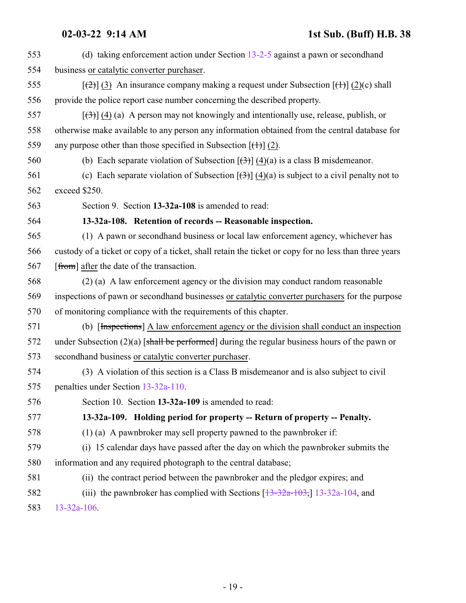<span id="page-18-1"></span><span id="page-18-0"></span>

| 553 | (d) taking enforcement action under Section $13-2-5$ against a pawn or second hand                               |
|-----|------------------------------------------------------------------------------------------------------------------|
| 554 | business or catalytic converter purchaser.                                                                       |
| 555 | $[\frac{1}{2}]$ (3) An insurance company making a request under Subsection $[\frac{1}{2}]$ (2)(c) shall          |
| 556 | provide the police report case number concerning the described property.                                         |
| 557 | $[\langle 3\rangle]$ (4) (a) A person may not knowingly and intentionally use, release, publish, or              |
| 558 | otherwise make available to any person any information obtained from the central database for                    |
| 559 | any purpose other than those specified in Subsection $[\frac{+1}{2}]$ (2).                                       |
| 560 | (b) Each separate violation of Subsection $[\frac{(\lambda)}{(\lambda)}]$ (4)(a) is a class B misdemeanor.       |
| 561 | (c) Each separate violation of Subsection $[\frac{(3)}{4}]$ $\frac{(4)}{4}$ is subject to a civil penalty not to |
| 562 | exceed \$250.                                                                                                    |
| 563 | Section 9. Section 13-32a-108 is amended to read:                                                                |
| 564 | 13-32a-108. Retention of records -- Reasonable inspection.                                                       |
| 565 | (1) A pawn or secondhand business or local law enforcement agency, whichever has                                 |
| 566 | custody of a ticket or copy of a ticket, shall retain the ticket or copy for no less than three years            |
| 567 | [from] after the date of the transaction.                                                                        |
| 568 | (2) (a) A law enforcement agency or the division may conduct random reasonable                                   |
| 569 | inspections of pawn or secondhand businesses or catalytic converter purchasers for the purpose                   |
| 570 | of monitoring compliance with the requirements of this chapter.                                                  |
| 571 | (b) [Inspections] A law enforcement agency or the division shall conduct an inspection                           |
| 572 | under Subsection $(2)(a)$ [shall be performed] during the regular business hours of the pawn or                  |
| 573 | secondhand business or catalytic converter purchaser.                                                            |
| 574 | (3) A violation of this section is a Class B misdemeanor and is also subject to civil                            |
| 575 | penalties under Section 13-32a-110.                                                                              |
| 576 | Section 10. Section 13-32a-109 is amended to read:                                                               |
| 577 | 13-32a-109. Holding period for property -- Return of property -- Penalty.                                        |
| 578 | $(1)$ (a) A pawnbroker may sell property pawned to the pawnbroker if:                                            |
| 579 | (i) 15 calendar days have passed after the day on which the pawnbroker submits the                               |
| 580 | information and any required photograph to the central database;                                                 |
| 581 | (ii) the contract period between the pawnbroker and the pledgor expires; and                                     |
| 582 | (iii) the pawnbroker has complied with Sections $\left[13-32a-103, 13-32a-104, \text{ and} \right]$              |
| 583 | 13-32a-106.                                                                                                      |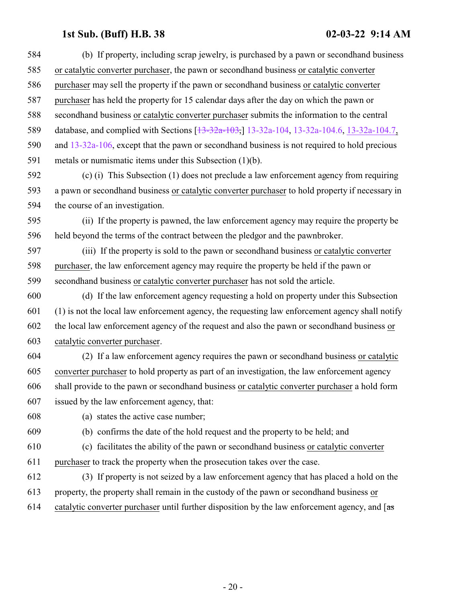- (b) If property, including scrap jewelry, is purchased by a pawn or secondhand business or catalytic converter purchaser, the pawn or secondhand business or catalytic converter purchaser may sell the property if the pawn or secondhand business or catalytic converter purchaser has held the property for 15 calendar days after the day on which the pawn or secondhand business or catalytic converter purchaser submits the information to the central 589 database, and complied with Sections [\[13-32a-103](http://le.utah.gov/UtahCode/SectionLookup.jsp?section=13-32a-103&session=2022GS),] [13-32a-104](#page-9-0), [13-32a-104.6](http://le.utah.gov/UtahCode/SectionLookup.jsp?section=13-32a-104.6&session=2022GS), [13-32a-104.7](#page-12-0), and [13-32a-106](#page-15-0), except that the pawn or secondhand business is not required to hold precious metals or numismatic items under this Subsection (1)(b).
- (c) (i) This Subsection (1) does not preclude a law enforcement agency from requiring a pawn or secondhand business or catalytic converter purchaser to hold property if necessary in the course of an investigation.
- (ii) If the property is pawned, the law enforcement agency may require the property be held beyond the terms of the contract between the pledgor and the pawnbroker.
- (iii) If the property is sold to the pawn or secondhand business or catalytic converter purchaser, the law enforcement agency may require the property be held if the pawn or secondhand business or catalytic converter purchaser has not sold the article.
- (d) If the law enforcement agency requesting a hold on property under this Subsection (1) is not the local law enforcement agency, the requesting law enforcement agency shall notify the local law enforcement agency of the request and also the pawn or secondhand business or catalytic converter purchaser.
- (2) If a law enforcement agency requires the pawn or secondhand business or catalytic converter purchaser to hold property as part of an investigation, the law enforcement agency shall provide to the pawn or secondhand business or catalytic converter purchaser a hold form issued by the law enforcement agency, that:
- (a) states the active case number;

- (b) confirms the date of the hold request and the property to be held; and
- (c) facilitates the ability of the pawn or secondhand business or catalytic converter purchaser to track the property when the prosecution takes over the case.
- (3) If property is not seized by a law enforcement agency that has placed a hold on the property, the property shall remain in the custody of the pawn or secondhand business or 614 catalytic converter purchaser until further disposition by the law enforcement agency, and  $\left[$ as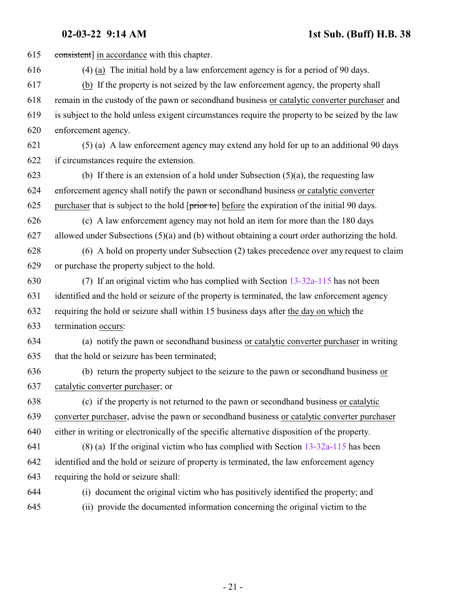consistent] in accordance with this chapter. (4) (a) The initial hold by a law enforcement agency is for a period of 90 days. (b) If the property is not seized by the law enforcement agency, the property shall remain in the custody of the pawn or secondhand business or catalytic converter purchaser and is subject to the hold unless exigent circumstances require the property to be seized by the law enforcement agency. (5) (a) A law enforcement agency may extend any hold for up to an additional 90 days if circumstances require the extension. 623 (b) If there is an extension of a hold under Subsection  $(5)(a)$ , the requesting law enforcement agency shall notify the pawn or secondhand business or catalytic converter 625 purchaser that is subject to the hold  $[\overline{prior\ to}]$  before the expiration of the initial 90 days. (c) A law enforcement agency may not hold an item for more than the 180 days allowed under Subsections (5)(a) and (b) without obtaining a court order authorizing the hold. (6) A hold on property under Subsection (2) takes precedence over any request to claim or purchase the property subject to the hold. (7) If an original victim who has complied with Section [13-32a-115](#page-28-0) has not been identified and the hold or seizure of the property is terminated, the law enforcement agency requiring the hold or seizure shall within 15 business days after the day on which the termination occurs: (a) notify the pawn or secondhand business or catalytic converter purchaser in writing that the hold or seizure has been terminated; (b) return the property subject to the seizure to the pawn or secondhand business or catalytic converter purchaser; or (c) if the property is not returned to the pawn or secondhand business or catalytic converter purchaser, advise the pawn or secondhand business or catalytic converter purchaser either in writing or electronically of the specific alternative disposition of the property. (8) (a) If the original victim who has complied with Section [13-32a-115](#page-28-0) has been identified and the hold or seizure of property is terminated, the law enforcement agency requiring the hold or seizure shall: (i) document the original victim who has positively identified the property; and (ii) provide the documented information concerning the original victim to the

- 21 -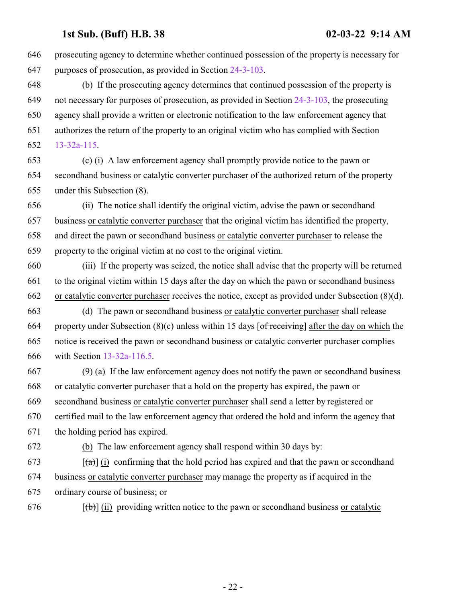prosecuting agency to determine whether continued possession of the property is necessary for purposes of prosecution, as provided in Section [24-3-103](http://le.utah.gov/UtahCode/SectionLookup.jsp?section=24-3-103&session=2022GS). (b) If the prosecuting agency determines that continued possession of the property is not necessary for purposes of prosecution, as provided in Section [24-3-103](http://le.utah.gov/UtahCode/SectionLookup.jsp?section=24-3-103&session=2022GS), the prosecuting agency shall provide a written or electronic notification to the law enforcement agency that authorizes the return of the property to an original victim who has complied with Section [13-32a-115](#page-28-0). (c) (i) A law enforcement agency shall promptly provide notice to the pawn or secondhand business or catalytic converter purchaser of the authorized return of the property under this Subsection (8). (ii) The notice shall identify the original victim, advise the pawn or secondhand business or catalytic converter purchaser that the original victim has identified the property, and direct the pawn or secondhand business or catalytic converter purchaser to release the property to the original victim at no cost to the original victim. (iii) If the property was seized, the notice shall advise that the property will be returned to the original victim within 15 days after the day on which the pawn or secondhand business or catalytic converter purchaser receives the notice, except as provided under Subsection (8)(d). (d) The pawn or secondhand business or catalytic converter purchaser shall release 664 property under Subsection  $(8)(c)$  unless within 15 days  $\lceil \frac{\text{of receiving}}{\text{of receiving}} \rceil$  after the day on which the notice is received the pawn or secondhand business or catalytic converter purchaser complies with Section [13-32a-116.5](#page-29-1). (9) (a) If the law enforcement agency does not notify the pawn or secondhand business or catalytic converter purchaser that a hold on the property has expired, the pawn or secondhand business or catalytic converter purchaser shall send a letter by registered or certified mail to the law enforcement agency that ordered the hold and inform the agency that the holding period has expired. (b) The law enforcement agency shall respond within 30 days by:  $[4\rightarrow 673$  [(a)] (i) confirming that the hold period has expired and that the pawn or secondhand business or catalytic converter purchaser may manage the property as if acquired in the ordinary course of business; or  $[(\theta)]$  (ii) providing written notice to the pawn or secondhand business or catalytic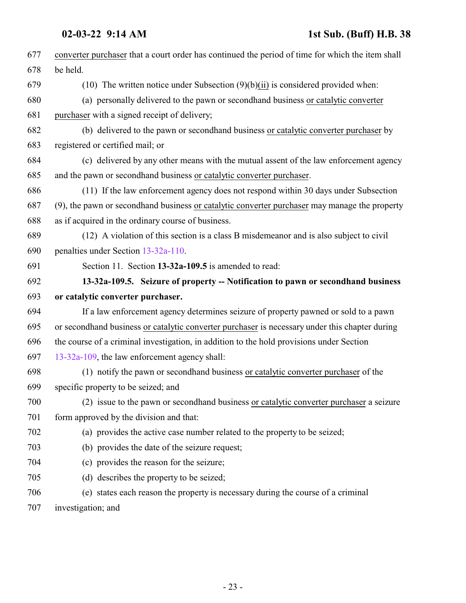<span id="page-22-0"></span>

| 677 | converter purchaser that a court order has continued the period of time for which the item shall |
|-----|--------------------------------------------------------------------------------------------------|
| 678 | be held.                                                                                         |
| 679 | (10) The written notice under Subsection $(9)(b)(ii)$ is considered provided when:               |
| 680 | (a) personally delivered to the pawn or second hand business or catalytic converter              |
| 681 | purchaser with a signed receipt of delivery;                                                     |
| 682 | (b) delivered to the pawn or secondhand business or catalytic converter purchaser by             |
| 683 | registered or certified mail; or                                                                 |
| 684 | (c) delivered by any other means with the mutual assent of the law enforcement agency            |
| 685 | and the pawn or secondhand business or catalytic converter purchaser.                            |
| 686 | (11) If the law enforcement agency does not respond within 30 days under Subsection              |
| 687 | (9), the pawn or secondhand business or catalytic converter purchaser may manage the property    |
| 688 | as if acquired in the ordinary course of business.                                               |
| 689 | (12) A violation of this section is a class B misdemeanor and is also subject to civil           |
| 690 | penalties under Section 13-32a-110.                                                              |
| 691 | Section 11. Section 13-32a-109.5 is amended to read:                                             |
| 692 | 13-32a-109.5. Seizure of property -- Notification to pawn or secondhand business                 |
| 693 | or catalytic converter purchaser.                                                                |
| 694 | If a law enforcement agency determines seizure of property pawned or sold to a pawn              |
| 695 | or secondhand business or catalytic converter purchaser is necessary under this chapter during   |
| 696 | the course of a criminal investigation, in addition to the hold provisions under Section         |
| 697 | 13-32a-109, the law enforcement agency shall:                                                    |
| 698 | (1) notify the pawn or second hand business or catalytic converter purchaser of the              |
| 699 | specific property to be seized; and                                                              |
| 700 | (2) issue to the pawn or secondhand business or catalytic converter purchaser a seizure          |
| 701 | form approved by the division and that:                                                          |
| 702 | (a) provides the active case number related to the property to be seized;                        |
| 703 | (b) provides the date of the seizure request;                                                    |
| 704 | (c) provides the reason for the seizure;                                                         |
| 705 | (d) describes the property to be seized;                                                         |
| 706 | (e) states each reason the property is necessary during the course of a criminal                 |
| 707 | investigation; and                                                                               |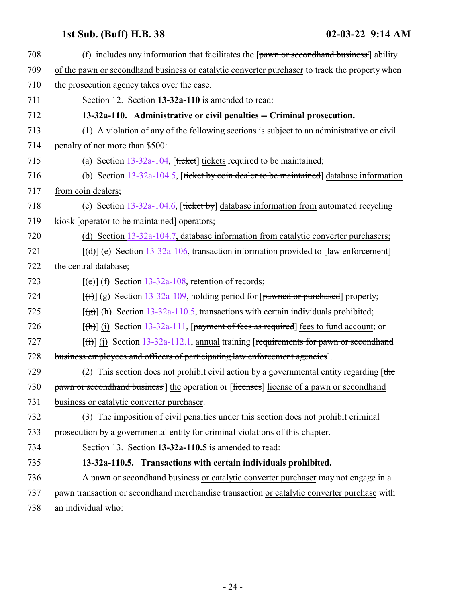<span id="page-23-1"></span><span id="page-23-0"></span>

| 708 | (f) includes any information that facilitates the $\lceil$ pawn or second hand business <sup>1</sup> ability |
|-----|--------------------------------------------------------------------------------------------------------------|
| 709 | of the pawn or second hand business or catalytic converter purchaser to track the property when              |
| 710 | the prosecution agency takes over the case.                                                                  |
| 711 | Section 12. Section 13-32a-110 is amended to read:                                                           |
| 712 | 13-32a-110. Administrative or civil penalties -- Criminal prosecution.                                       |
| 713 | (1) A violation of any of the following sections is subject to an administrative or civil                    |
| 714 | penalty of not more than \$500:                                                                              |
| 715 | (a) Section $13-32a-104$ , [ticket] tickets required to be maintained;                                       |
| 716 | (b) Section $13-32a-104.5$ , [ticket by coin dealer to be maintained] database information                   |
| 717 | from coin dealers;                                                                                           |
| 718 | (c) Section $13-32a-104.6$ , [ticket by] database information from automated recycling                       |
| 719 | kiosk [operator to be maintained] operators;                                                                 |
| 720 | (d) Section $13-32a-104.7$ , database information from catalytic converter purchasers;                       |
| 721 | $[\text{(\text{d})}]$ (e) Section 13-32a-106, transaction information provided to [law enforcement]          |
| 722 | the central database;                                                                                        |
| 723 | $[\text{e}(\text{e})]$ (f) Section 13-32a-108, retention of records;                                         |
| 724 | $[f(f)]$ (g) Section 13-32a-109, holding period for [pawned or purchased] property;                          |
| 725 | $\left[\frac{1}{2}\right]$ (h) Section 13-32a-110.5, transactions with certain individuals prohibited;       |
| 726 | $[\text{th}]$ (i) Section 13-32a-111, [payment of fees as required] fees to fund account; or                 |
| 727 | $\left[\frac{1}{1}\right]$ (j) Section 13-32a-112.1, annual training [requirements for pawn or second hand   |
| 728 | business employees and officers of participating law enforcement agencies].                                  |
| 729 | (2) This section does not prohibit civil action by a governmental entity regarding $[$ the                   |
| 730 | pawn or second hand business <sup>1</sup> the operation or [licenses] license of a pawn or second hand       |
| 731 | business or catalytic converter purchaser.                                                                   |
| 732 | (3) The imposition of civil penalties under this section does not prohibit criminal                          |
| 733 | prosecution by a governmental entity for criminal violations of this chapter.                                |
| 734 | Section 13. Section 13-32a-110.5 is amended to read:                                                         |
| 735 | 13-32a-110.5. Transactions with certain individuals prohibited.                                              |
| 736 | A pawn or secondhand business or catalytic converter purchaser may not engage in a                           |
| 737 | pawn transaction or secondhand merchandise transaction or catalytic converter purchase with                  |
| 738 | an individual who:                                                                                           |
|     |                                                                                                              |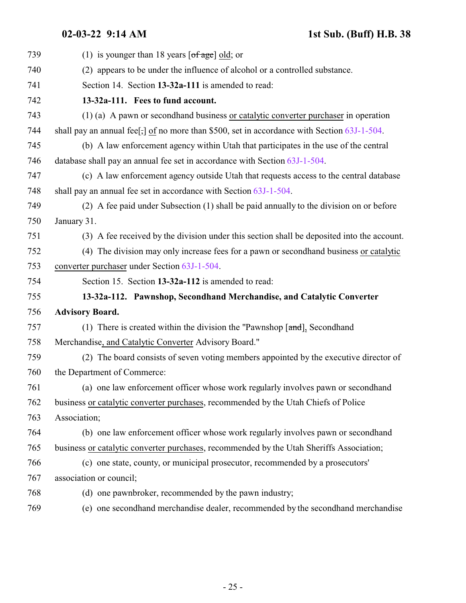<span id="page-24-1"></span><span id="page-24-0"></span>

| 739 | (1) is younger than 18 years $\lceil \text{of age} \rceil$ old; or                          |
|-----|---------------------------------------------------------------------------------------------|
| 740 | (2) appears to be under the influence of alcohol or a controlled substance.                 |
| 741 | Section 14. Section 13-32a-111 is amended to read:                                          |
| 742 | 13-32a-111. Fees to fund account.                                                           |
| 743 | (1) (a) A pawn or second hand business or catalytic converter purchaser in operation        |
| 744 | shall pay an annual fee[,] of no more than \$500, set in accordance with Section 63J-1-504. |
| 745 | (b) A law enforcement agency within Utah that participates in the use of the central        |
| 746 | database shall pay an annual fee set in accordance with Section 63J-1-504.                  |
| 747 | (c) A law enforcement agency outside Utah that requests access to the central database      |
| 748 | shall pay an annual fee set in accordance with Section 63J-1-504.                           |
| 749 | (2) A fee paid under Subsection (1) shall be paid annually to the division on or before     |
| 750 | January 31.                                                                                 |
| 751 | (3) A fee received by the division under this section shall be deposited into the account.  |
| 752 | (4) The division may only increase fees for a pawn or second hand business or catalytic     |
| 753 | converter purchaser under Section 63J-1-504.                                                |
| 754 | Section 15. Section 13-32a-112 is amended to read:                                          |
| 755 | 13-32a-112. Pawnshop, Secondhand Merchandise, and Catalytic Converter                       |
| 756 | <b>Advisory Board.</b>                                                                      |
| 757 | (1) There is created within the division the "Pawnshop $[\text{and}]$ , Secondhand          |
| 758 | Merchandise, and Catalytic Converter Advisory Board."                                       |
| 759 | (2) The board consists of seven voting members appointed by the executive director of       |
| 760 | the Department of Commerce:                                                                 |
| 761 | (a) one law enforcement officer whose work regularly involves pawn or second hand           |
| 762 | business or catalytic converter purchases, recommended by the Utah Chiefs of Police         |
| 763 | Association;                                                                                |
| 764 | (b) one law enforcement officer whose work regularly involves pawn or secondhand            |
| 765 | business or catalytic converter purchases, recommended by the Utah Sheriffs Association;    |
| 766 | (c) one state, county, or municipal prosecutor, recommended by a prosecutors'               |
| 767 | association or council;                                                                     |
| 768 | (d) one pawnbroker, recommended by the pawn industry;                                       |
| 769 | (e) one secondhand merchandise dealer, recommended by the secondhand merchandise            |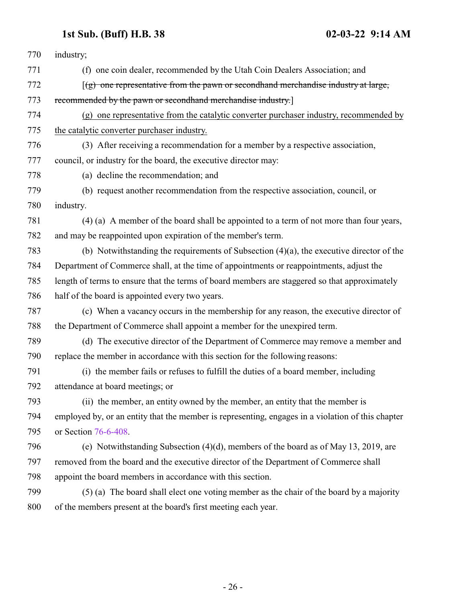| 770 | industry;                                                                                         |
|-----|---------------------------------------------------------------------------------------------------|
| 771 | (f) one coin dealer, recommended by the Utah Coin Dealers Association; and                        |
| 772 | $(g)$ one representative from the pawn or secondhand merchandise industry at large,               |
| 773 | recommended by the pawn or secondhand merchandise industry.]                                      |
| 774 | (g) one representative from the catalytic converter purchaser industry, recommended by            |
| 775 | the catalytic converter purchaser industry.                                                       |
| 776 | (3) After receiving a recommendation for a member by a respective association,                    |
| 777 | council, or industry for the board, the executive director may:                                   |
| 778 | (a) decline the recommendation; and                                                               |
| 779 | (b) request another recommendation from the respective association, council, or                   |
| 780 | industry.                                                                                         |
| 781 | (4) (a) A member of the board shall be appointed to a term of not more than four years,           |
| 782 | and may be reappointed upon expiration of the member's term.                                      |
| 783 | (b) Notwithstanding the requirements of Subsection $(4)(a)$ , the executive director of the       |
| 784 | Department of Commerce shall, at the time of appointments or reappointments, adjust the           |
| 785 | length of terms to ensure that the terms of board members are staggered so that approximately     |
| 786 | half of the board is appointed every two years.                                                   |
| 787 | (c) When a vacancy occurs in the membership for any reason, the executive director of             |
| 788 | the Department of Commerce shall appoint a member for the unexpired term.                         |
| 789 | (d) The executive director of the Department of Commerce may remove a member and                  |
| 790 | replace the member in accordance with this section for the following reasons:                     |
| 791 | (i) the member fails or refuses to fulfill the duties of a board member, including                |
| 792 | attendance at board meetings; or                                                                  |
| 793 | (ii) the member, an entity owned by the member, an entity that the member is                      |
| 794 | employed by, or an entity that the member is representing, engages in a violation of this chapter |
| 795 | or Section 76-6-408.                                                                              |
| 796 | (e) Notwithstanding Subsection (4)(d), members of the board as of May 13, 2019, are               |
| 797 | removed from the board and the executive director of the Department of Commerce shall             |
| 798 | appoint the board members in accordance with this section.                                        |
| 799 | (5) (a) The board shall elect one voting member as the chair of the board by a majority           |
| 800 | of the members present at the board's first meeting each year.                                    |
|     |                                                                                                   |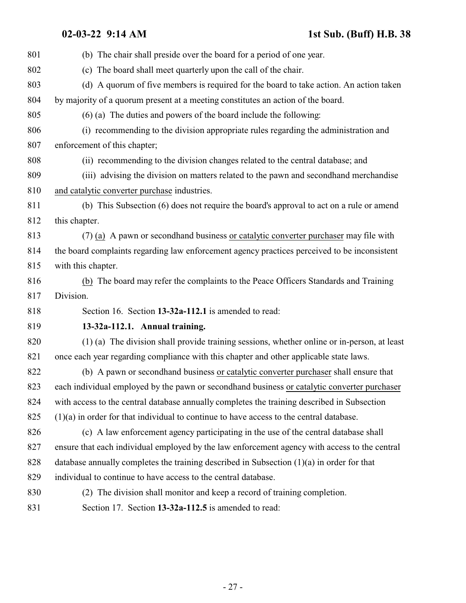<span id="page-26-1"></span><span id="page-26-0"></span>

| 801 | (b) The chair shall preside over the board for a period of one year.                          |
|-----|-----------------------------------------------------------------------------------------------|
| 802 | (c) The board shall meet quarterly upon the call of the chair.                                |
| 803 | (d) A quorum of five members is required for the board to take action. An action taken        |
| 804 | by majority of a quorum present at a meeting constitutes an action of the board.              |
| 805 | $(6)$ (a) The duties and powers of the board include the following:                           |
| 806 | (i) recommending to the division appropriate rules regarding the administration and           |
| 807 | enforcement of this chapter;                                                                  |
| 808 | (ii) recommending to the division changes related to the central database; and                |
| 809 | (iii) advising the division on matters related to the pawn and second hand merchandise        |
| 810 | and catalytic converter purchase industries.                                                  |
| 811 | (b) This Subsection (6) does not require the board's approval to act on a rule or amend       |
| 812 | this chapter.                                                                                 |
| 813 | (7) (a) A pawn or second hand business or catalytic converter purchaser may file with         |
| 814 | the board complaints regarding law enforcement agency practices perceived to be inconsistent  |
| 815 | with this chapter.                                                                            |
| 816 | (b) The board may refer the complaints to the Peace Officers Standards and Training           |
| 817 | Division.                                                                                     |
| 818 | Section 16. Section 13-32a-112.1 is amended to read:                                          |
| 819 | 13-32a-112.1. Annual training.                                                                |
| 820 | (1) (a) The division shall provide training sessions, whether online or in-person, at least   |
| 821 | once each year regarding compliance with this chapter and other applicable state laws.        |
| 822 | (b) A pawn or second hand business or catalytic converter purchaser shall ensure that         |
| 823 | each individual employed by the pawn or second hand business or catalytic converter purchaser |
| 824 | with access to the central database annually completes the training described in Subsection   |
| 825 | $(1)(a)$ in order for that individual to continue to have access to the central database.     |
| 826 | (c) A law enforcement agency participating in the use of the central database shall           |
| 827 | ensure that each individual employed by the law enforcement agency with access to the central |
| 828 | database annually completes the training described in Subsection $(1)(a)$ in order for that   |
| 829 | individual to continue to have access to the central database.                                |
| 830 | (2) The division shall monitor and keep a record of training completion.                      |
| 831 | Section 17. Section 13-32a-112.5 is amended to read:                                          |
|     |                                                                                               |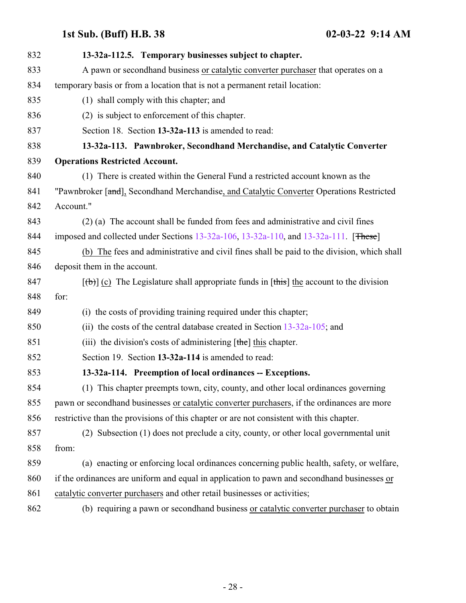<span id="page-27-1"></span><span id="page-27-0"></span>

| 832 | 13-32a-112.5. Temporary businesses subject to chapter.                                       |
|-----|----------------------------------------------------------------------------------------------|
| 833 | A pawn or secondhand business or catalytic converter purchaser that operates on a            |
| 834 | temporary basis or from a location that is not a permanent retail location:                  |
| 835 | (1) shall comply with this chapter; and                                                      |
| 836 | (2) is subject to enforcement of this chapter.                                               |
| 837 | Section 18. Section 13-32a-113 is amended to read:                                           |
| 838 | 13-32a-113. Pawnbroker, Secondhand Merchandise, and Catalytic Converter                      |
| 839 | <b>Operations Restricted Account.</b>                                                        |
| 840 | (1) There is created within the General Fund a restricted account known as the               |
| 841 | "Pawnbroker [and], Secondhand Merchandise, and Catalytic Converter Operations Restricted     |
| 842 | Account."                                                                                    |
| 843 | (2) (a) The account shall be funded from fees and administrative and civil fines             |
| 844 | imposed and collected under Sections 13-32a-106, 13-32a-110, and 13-32a-111. [These]         |
| 845 | (b) The fees and administrative and civil fines shall be paid to the division, which shall   |
| 846 | deposit them in the account.                                                                 |
| 847 | $[\theta]$ (c) The Legislature shall appropriate funds in [this] the account to the division |
| 848 | for:                                                                                         |
| 849 | (i) the costs of providing training required under this chapter;                             |
| 850 | (ii) the costs of the central database created in Section $13-32a-105$ ; and                 |
| 851 | (iii) the division's costs of administering $[the]$ this chapter.                            |
| 852 | Section 19. Section 13-32a-114 is amended to read:                                           |
| 853 | 13-32a-114. Preemption of local ordinances -- Exceptions.                                    |
| 854 | (1) This chapter preempts town, city, county, and other local ordinances governing           |
| 855 | pawn or second hand businesses or catalytic converter purchasers, if the ordinances are more |
| 856 | restrictive than the provisions of this chapter or are not consistent with this chapter.     |
| 857 | (2) Subsection (1) does not preclude a city, county, or other local governmental unit        |
| 858 | from:                                                                                        |
| 859 | (a) enacting or enforcing local ordinances concerning public health, safety, or welfare,     |
| 860 | if the ordinances are uniform and equal in application to pawn and second hand businesses or |
| 861 | catalytic converter purchasers and other retail businesses or activities;                    |
| 862 | (b) requiring a pawn or secondhand business or catalytic converter purchaser to obtain       |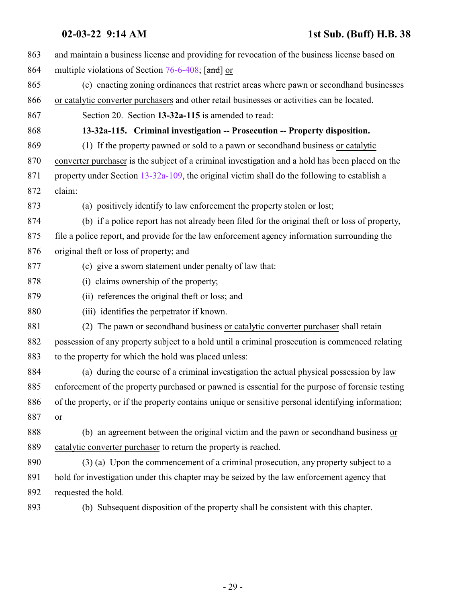<span id="page-28-0"></span>

| 863 | and maintain a business license and providing for revocation of the business license based on      |
|-----|----------------------------------------------------------------------------------------------------|
| 864 | multiple violations of Section 76-6-408; [and] or                                                  |
| 865 | (c) enacting zoning ordinances that restrict areas where pawn or second hand businesses            |
| 866 | or catalytic converter purchasers and other retail businesses or activities can be located.        |
| 867 | Section 20. Section 13-32a-115 is amended to read:                                                 |
| 868 | 13-32a-115. Criminal investigation -- Prosecution -- Property disposition.                         |
| 869 | (1) If the property pawned or sold to a pawn or second hand business or catalytic                  |
| 870 | converter purchaser is the subject of a criminal investigation and a hold has been placed on the   |
| 871 | property under Section 13-32a-109, the original victim shall do the following to establish a       |
| 872 | claim:                                                                                             |
| 873 | (a) positively identify to law enforcement the property stolen or lost;                            |
| 874 | (b) if a police report has not already been filed for the original theft or loss of property,      |
| 875 | file a police report, and provide for the law enforcement agency information surrounding the       |
| 876 | original theft or loss of property; and                                                            |
| 877 | (c) give a sworn statement under penalty of law that:                                              |
| 878 | (i) claims ownership of the property;                                                              |
| 879 | (ii) references the original theft or loss; and                                                    |
| 880 | (iii) identifies the perpetrator if known.                                                         |
| 881 | (2) The pawn or secondhand business or catalytic converter purchaser shall retain                  |
| 882 | possession of any property subject to a hold until a criminal prosecution is commenced relating    |
| 883 | to the property for which the hold was placed unless:                                              |
| 884 | (a) during the course of a criminal investigation the actual physical possession by law            |
| 885 | enforcement of the property purchased or pawned is essential for the purpose of forensic testing   |
| 886 | of the property, or if the property contains unique or sensitive personal identifying information; |
| 887 | or                                                                                                 |
| 888 | (b) an agreement between the original victim and the pawn or second hand business or               |
| 889 | catalytic converter purchaser to return the property is reached.                                   |
| 890 | (3) (a) Upon the commencement of a criminal prosecution, any property subject to a                 |
| 891 | hold for investigation under this chapter may be seized by the law enforcement agency that         |
| 892 | requested the hold.                                                                                |
| 893 | (b) Subsequent disposition of the property shall be consistent with this chapter.                  |
|     |                                                                                                    |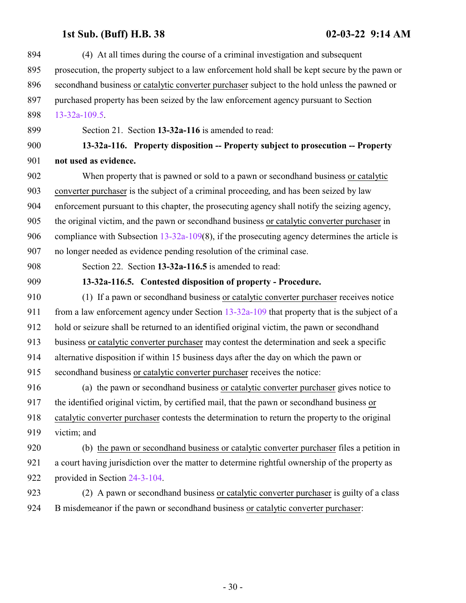<span id="page-29-1"></span><span id="page-29-0"></span>

| 894 | (4) At all times during the course of a criminal investigation and subsequent                    |
|-----|--------------------------------------------------------------------------------------------------|
| 895 | prosecution, the property subject to a law enforcement hold shall be kept secure by the pawn or  |
| 896 | secondhand business or catalytic converter purchaser subject to the hold unless the pawned or    |
| 897 | purchased property has been seized by the law enforcement agency pursuant to Section             |
| 898 | $13 - 32a - 109.5$ .                                                                             |
| 899 | Section 21. Section 13-32a-116 is amended to read:                                               |
| 900 | 13-32a-116. Property disposition -- Property subject to prosecution -- Property                  |
| 901 | not used as evidence.                                                                            |
| 902 | When property that is pawned or sold to a pawn or second hand business or catalytic              |
| 903 | converter purchaser is the subject of a criminal proceeding, and has been seized by law          |
| 904 | enforcement pursuant to this chapter, the prosecuting agency shall notify the seizing agency,    |
| 905 | the original victim, and the pawn or secondhand business or catalytic converter purchaser in     |
| 906 | compliance with Subsection $13-32a-109(8)$ , if the prosecuting agency determines the article is |
| 907 | no longer needed as evidence pending resolution of the criminal case.                            |
| 908 | Section 22. Section 13-32a-116.5 is amended to read:                                             |
| 909 | 13-32a-116.5. Contested disposition of property - Procedure.                                     |
| 910 | (1) If a pawn or secondhand business or catalytic converter purchaser receives notice            |
| 911 | from a law enforcement agency under Section $13-32a-109$ that property that is the subject of a  |
| 912 | hold or seizure shall be returned to an identified original victim, the pawn or secondhand       |
| 913 | business or catalytic converter purchaser may contest the determination and seek a specific      |
| 914 | alternative disposition if within 15 business days after the day on which the pawn or            |
| 915 | secondhand business or catalytic converter purchaser receives the notice:                        |
| 916 | (a) the pawn or second hand business or catalytic converter purchaser gives notice to            |
| 917 | the identified original victim, by certified mail, that the pawn or second hand business or      |
| 918 | catalytic converter purchaser contests the determination to return the property to the original  |
| 919 | victim; and                                                                                      |
| 920 | (b) the pawn or second hand business or catalytic converter purchaser files a petition in        |
| 921 | a court having jurisdiction over the matter to determine rightful ownership of the property as   |
| 922 | provided in Section 24-3-104.                                                                    |
| 923 | (2) A pawn or second hand business or catalytic converter purchaser is guilty of a class         |
| 924 | B misdemeanor if the pawn or secondhand business or catalytic converter purchaser:               |
|     |                                                                                                  |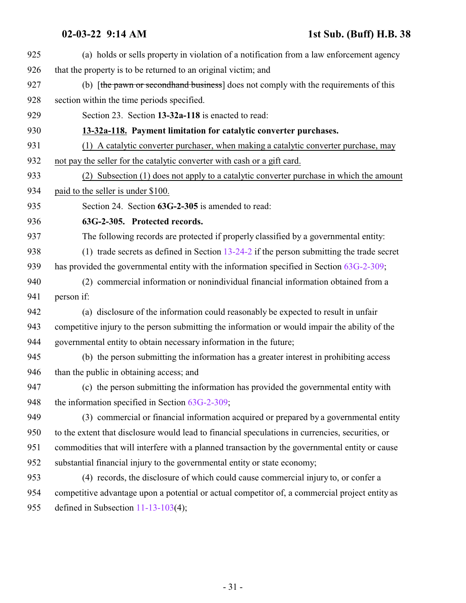<span id="page-30-1"></span><span id="page-30-0"></span>

| 925 | (a) holds or sells property in violation of a notification from a law enforcement agency         |
|-----|--------------------------------------------------------------------------------------------------|
| 926 | that the property is to be returned to an original victim; and                                   |
| 927 | (b) [the pawn or second hand business] does not comply with the requirements of this             |
| 928 | section within the time periods specified.                                                       |
| 929 | Section 23. Section 13-32a-118 is enacted to read:                                               |
| 930 | 13-32a-118. Payment limitation for catalytic converter purchases.                                |
| 931 | (1) A catalytic converter purchaser, when making a catalytic converter purchase, may             |
| 932 | not pay the seller for the catalytic converter with cash or a gift card.                         |
| 933 | (2) Subsection (1) does not apply to a catalytic converter purchase in which the amount          |
| 934 | paid to the seller is under \$100.                                                               |
| 935 | Section 24. Section 63G-2-305 is amended to read:                                                |
| 936 | 63G-2-305. Protected records.                                                                    |
| 937 | The following records are protected if properly classified by a governmental entity:             |
| 938 | (1) trade secrets as defined in Section $13-24-2$ if the person submitting the trade secret      |
| 939 | has provided the governmental entity with the information specified in Section 63G-2-309;        |
| 940 | (2) commercial information or nonindividual financial information obtained from a                |
| 941 | person if:                                                                                       |
| 942 | (a) disclosure of the information could reasonably be expected to result in unfair               |
| 943 | competitive injury to the person submitting the information or would impair the ability of the   |
| 944 | governmental entity to obtain necessary information in the future;                               |
| 945 | (b) the person submitting the information has a greater interest in prohibiting access           |
| 946 | than the public in obtaining access; and                                                         |
| 947 | (c) the person submitting the information has provided the governmental entity with              |
| 948 | the information specified in Section $63G-2-309$ ;                                               |
| 949 | (3) commercial or financial information acquired or prepared by a governmental entity            |
| 950 | to the extent that disclosure would lead to financial speculations in currencies, securities, or |
| 951 | commodities that will interfere with a planned transaction by the governmental entity or cause   |
| 952 | substantial financial injury to the governmental entity or state economy;                        |
| 953 | (4) records, the disclosure of which could cause commercial injury to, or confer a               |
| 954 | competitive advantage upon a potential or actual competitor of, a commercial project entity as   |
| 955 | defined in Subsection $11-13-103(4)$ ;                                                           |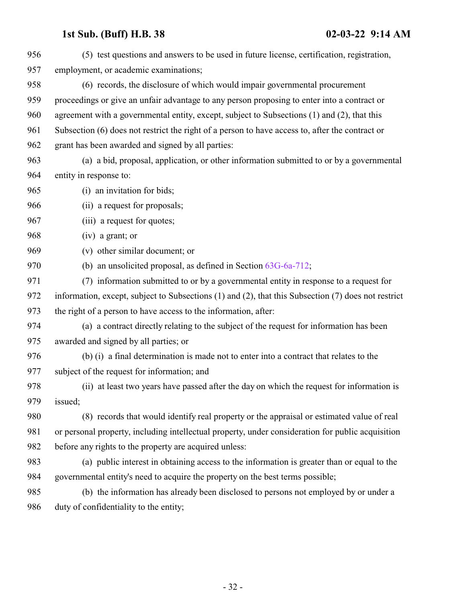| 956 | (5) test questions and answers to be used in future license, certification, registration,           |
|-----|-----------------------------------------------------------------------------------------------------|
| 957 | employment, or academic examinations;                                                               |
| 958 | (6) records, the disclosure of which would impair governmental procurement                          |
| 959 | proceedings or give an unfair advantage to any person proposing to enter into a contract or         |
| 960 | agreement with a governmental entity, except, subject to Subsections (1) and (2), that this         |
| 961 | Subsection (6) does not restrict the right of a person to have access to, after the contract or     |
| 962 | grant has been awarded and signed by all parties:                                                   |
| 963 | (a) a bid, proposal, application, or other information submitted to or by a governmental            |
| 964 | entity in response to:                                                                              |
| 965 | (i) an invitation for bids;                                                                         |
| 966 | (ii) a request for proposals;                                                                       |
| 967 | (iii) a request for quotes;                                                                         |
| 968 | $(iv)$ a grant; or                                                                                  |
| 969 | (v) other similar document; or                                                                      |
| 970 | (b) an unsolicited proposal, as defined in Section 63G-6a-712;                                      |
| 971 | (7) information submitted to or by a governmental entity in response to a request for               |
| 972 | information, except, subject to Subsections (1) and (2), that this Subsection (7) does not restrict |
| 973 | the right of a person to have access to the information, after:                                     |
| 974 | (a) a contract directly relating to the subject of the request for information has been             |
| 975 | awarded and signed by all parties; or                                                               |
| 976 | (b) (i) a final determination is made not to enter into a contract that relates to the              |
| 977 | subject of the request for information; and                                                         |
| 978 | (ii) at least two years have passed after the day on which the request for information is           |
| 979 | issued;                                                                                             |
| 980 | (8) records that would identify real property or the appraisal or estimated value of real           |
| 981 | or personal property, including intellectual property, under consideration for public acquisition   |
| 982 | before any rights to the property are acquired unless:                                              |
| 983 | (a) public interest in obtaining access to the information is greater than or equal to the          |
| 984 | governmental entity's need to acquire the property on the best terms possible;                      |
| 985 | (b) the information has already been disclosed to persons not employed by or under a                |
| 986 | duty of confidentiality to the entity;                                                              |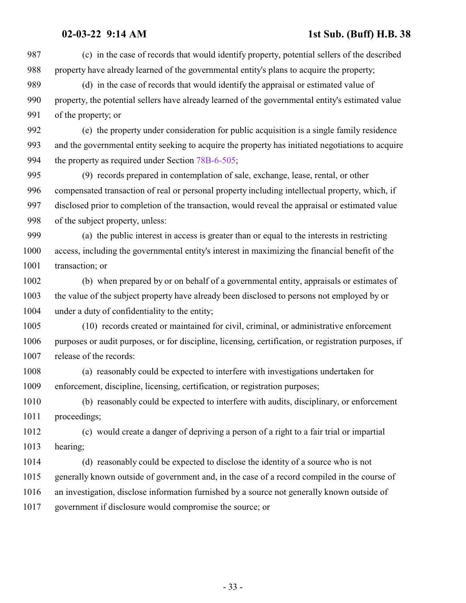(c) in the case of records that would identify property, potential sellers of the described property have already learned of the governmental entity's plans to acquire the property; (d) in the case of records that would identify the appraisal or estimated value of property, the potential sellers have already learned of the governmental entity's estimated value of the property; or (e) the property under consideration for public acquisition is a single family residence and the governmental entity seeking to acquire the property has initiated negotiations to acquire 994 the property as required under Section [78B-6-505](http://le.utah.gov/UtahCode/SectionLookup.jsp?section=78b-6-505&session=2022GS); (9) records prepared in contemplation of sale, exchange, lease, rental, or other compensated transaction of real or personal property including intellectual property, which, if disclosed prior to completion of the transaction, would reveal the appraisal or estimated value of the subject property, unless: (a) the public interest in access is greater than or equal to the interests in restricting access, including the governmental entity's interest in maximizing the financial benefit of the 1001 transaction; or (b) when prepared by or on behalf of a governmental entity, appraisals or estimates of the value of the subject property have already been disclosed to persons not employed by or under a duty of confidentiality to the entity; (10) records created or maintained for civil, criminal, or administrative enforcement purposes or audit purposes, or for discipline, licensing, certification, or registration purposes, if release of the records: (a) reasonably could be expected to interfere with investigations undertaken for enforcement, discipline, licensing, certification, or registration purposes; (b) reasonably could be expected to interfere with audits, disciplinary, or enforcement proceedings; (c) would create a danger of depriving a person of a right to a fair trial or impartial hearing; (d) reasonably could be expected to disclose the identity of a source who is not generally known outside of government and, in the case of a record compiled in the course of an investigation, disclose information furnished by a source not generally known outside of government if disclosure would compromise the source; or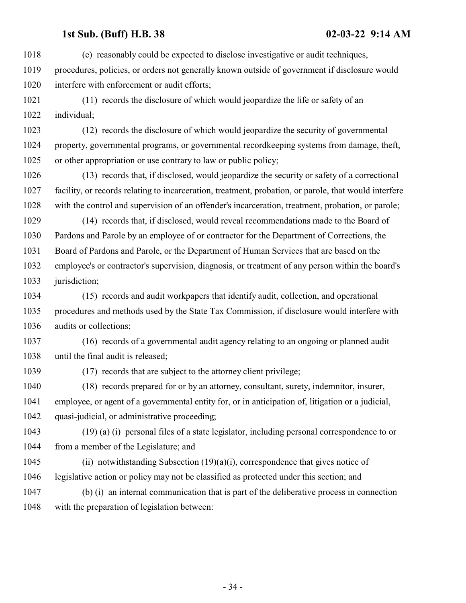(e) reasonably could be expected to disclose investigative or audit techniques, procedures, policies, or orders not generally known outside of government if disclosure would interfere with enforcement or audit efforts;

 (11) records the disclosure of which would jeopardize the life or safety of an individual;

 (12) records the disclosure of which would jeopardize the security of governmental property, governmental programs, or governmental recordkeeping systems from damage, theft, or other appropriation or use contrary to law or public policy;

 (13) records that, if disclosed, would jeopardize the security or safety of a correctional facility, or records relating to incarceration, treatment, probation, or parole, that would interfere with the control and supervision of an offender's incarceration, treatment, probation, or parole;

 (14) records that, if disclosed, would reveal recommendations made to the Board of Pardons and Parole by an employee of or contractor for the Department of Corrections, the Board of Pardons and Parole, or the Department of Human Services that are based on the employee's or contractor's supervision, diagnosis, or treatment of any person within the board's 1033 jurisdiction;

 (15) records and audit workpapers that identify audit, collection, and operational procedures and methods used by the State Tax Commission, if disclosure would interfere with audits or collections;

 (16) records of a governmental audit agency relating to an ongoing or planned audit until the final audit is released;

(17) records that are subject to the attorney client privilege;

 (18) records prepared for or by an attorney, consultant, surety, indemnitor, insurer, employee, or agent of a governmental entity for, or in anticipation of, litigation or a judicial, quasi-judicial, or administrative proceeding;

 (19) (a) (i) personal files of a state legislator, including personal correspondence to or from a member of the Legislature; and

 (ii) notwithstanding Subsection (19)(a)(i), correspondence that gives notice of legislative action or policy may not be classified as protected under this section; and

 (b) (i) an internal communication that is part of the deliberative process in connection with the preparation of legislation between:

- 34 -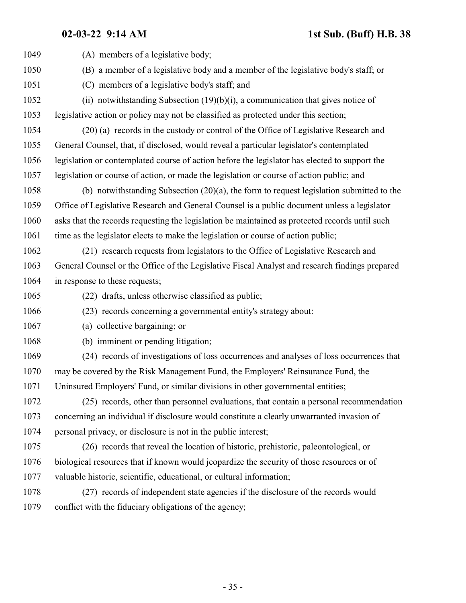| 1049 | (A) members of a legislative body;                                                             |
|------|------------------------------------------------------------------------------------------------|
| 1050 | (B) a member of a legislative body and a member of the legislative body's staff; or            |
| 1051 | (C) members of a legislative body's staff; and                                                 |
| 1052 | (ii) notwithstanding Subsection $(19)(b)(i)$ , a communication that gives notice of            |
| 1053 | legislative action or policy may not be classified as protected under this section;            |
| 1054 | (20) (a) records in the custody or control of the Office of Legislative Research and           |
| 1055 | General Counsel, that, if disclosed, would reveal a particular legislator's contemplated       |
| 1056 | legislation or contemplated course of action before the legislator has elected to support the  |
| 1057 | legislation or course of action, or made the legislation or course of action public; and       |
| 1058 | (b) notwithstanding Subsection $(20)(a)$ , the form to request legislation submitted to the    |
| 1059 | Office of Legislative Research and General Counsel is a public document unless a legislator    |
| 1060 | asks that the records requesting the legislation be maintained as protected records until such |
| 1061 | time as the legislator elects to make the legislation or course of action public;              |
| 1062 | (21) research requests from legislators to the Office of Legislative Research and              |
| 1063 | General Counsel or the Office of the Legislative Fiscal Analyst and research findings prepared |
| 1064 | in response to these requests;                                                                 |
| 1065 | (22) drafts, unless otherwise classified as public;                                            |
| 1066 | (23) records concerning a governmental entity's strategy about:                                |
| 1067 | (a) collective bargaining; or                                                                  |
| 1068 | (b) imminent or pending litigation;                                                            |
| 1069 | (24) records of investigations of loss occurrences and analyses of loss occurrences that       |
| 1070 | may be covered by the Risk Management Fund, the Employers' Reinsurance Fund, the               |
| 1071 | Uninsured Employers' Fund, or similar divisions in other governmental entities;                |
| 1072 | (25) records, other than personnel evaluations, that contain a personal recommendation         |
| 1073 | concerning an individual if disclosure would constitute a clearly unwarranted invasion of      |
| 1074 | personal privacy, or disclosure is not in the public interest;                                 |
| 1075 | (26) records that reveal the location of historic, prehistoric, paleontological, or            |
| 1076 | biological resources that if known would jeopardize the security of those resources or of      |
| 1077 | valuable historic, scientific, educational, or cultural information;                           |
| 1078 | (27) records of independent state agencies if the disclosure of the records would              |
| 1079 | conflict with the fiduciary obligations of the agency;                                         |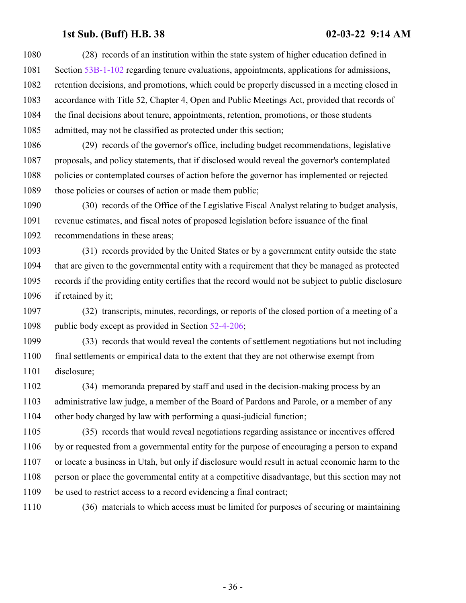(28) records of an institution within the state system of higher education defined in Section [53B-1-102](http://le.utah.gov/UtahCode/SectionLookup.jsp?section=53b-1-102&session=2022GS) regarding tenure evaluations, appointments, applications for admissions, retention decisions, and promotions, which could be properly discussed in a meeting closed in accordance with Title 52, Chapter 4, Open and Public Meetings Act, provided that records of the final decisions about tenure, appointments, retention, promotions, or those students admitted, may not be classified as protected under this section;

 (29) records of the governor's office, including budget recommendations, legislative proposals, and policy statements, that if disclosed would reveal the governor's contemplated policies or contemplated courses of action before the governor has implemented or rejected 1089 those policies or courses of action or made them public;

 (30) records of the Office of the Legislative Fiscal Analyst relating to budget analysis, revenue estimates, and fiscal notes of proposed legislation before issuance of the final recommendations in these areas;

 (31) records provided by the United States or by a government entity outside the state that are given to the governmental entity with a requirement that they be managed as protected records if the providing entity certifies that the record would not be subject to public disclosure 1096 if retained by it;

 (32) transcripts, minutes, recordings, or reports of the closed portion of a meeting of a 1098 public body except as provided in Section [52-4-206](http://le.utah.gov/UtahCode/SectionLookup.jsp?section=52-4-206&session=2022GS);

 (33) records that would reveal the contents of settlement negotiations but not including final settlements or empirical data to the extent that they are not otherwise exempt from disclosure;

 (34) memoranda prepared by staff and used in the decision-making process by an administrative law judge, a member of the Board of Pardons and Parole, or a member of any other body charged by law with performing a quasi-judicial function;

 (35) records that would reveal negotiations regarding assistance or incentives offered by or requested from a governmental entity for the purpose of encouraging a person to expand or locate a business in Utah, but only if disclosure would result in actual economic harm to the person or place the governmental entity at a competitive disadvantage, but this section may not be used to restrict access to a record evidencing a final contract;

(36) materials to which access must be limited for purposes of securing or maintaining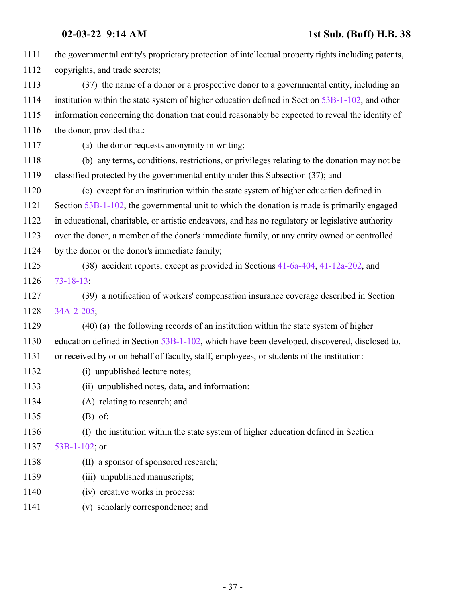| 1111 | the governmental entity's proprietary protection of intellectual property rights including patents, |
|------|-----------------------------------------------------------------------------------------------------|
| 1112 | copyrights, and trade secrets;                                                                      |
| 1113 | (37) the name of a donor or a prospective donor to a governmental entity, including an              |
| 1114 | institution within the state system of higher education defined in Section 53B-1-102, and other     |
| 1115 | information concerning the donation that could reasonably be expected to reveal the identity of     |
| 1116 | the donor, provided that:                                                                           |
| 1117 | (a) the donor requests anonymity in writing;                                                        |
| 1118 | (b) any terms, conditions, restrictions, or privileges relating to the donation may not be          |
| 1119 | classified protected by the governmental entity under this Subsection (37); and                     |
| 1120 | (c) except for an institution within the state system of higher education defined in                |
| 1121 | Section 53B-1-102, the governmental unit to which the donation is made is primarily engaged         |
| 1122 | in educational, charitable, or artistic endeavors, and has no regulatory or legislative authority   |
| 1123 | over the donor, a member of the donor's immediate family, or any entity owned or controlled         |
| 1124 | by the donor or the donor's immediate family;                                                       |
| 1125 | (38) accident reports, except as provided in Sections 41-6a-404, 41-12a-202, and                    |
| 1126 | $73 - 18 - 13$ ;                                                                                    |
| 1127 | (39) a notification of workers' compensation insurance coverage described in Section                |
| 1128 | 34A-2-205;                                                                                          |
| 1129 | (40) (a) the following records of an institution within the state system of higher                  |
| 1130 | education defined in Section 53B-1-102, which have been developed, discovered, disclosed to,        |
| 1131 | or received by or on behalf of faculty, staff, employees, or students of the institution:           |
| 1132 | (i) unpublished lecture notes;                                                                      |
| 1133 | (ii) unpublished notes, data, and information:                                                      |
| 1134 | (A) relating to research; and                                                                       |
| 1135 | $(B)$ of:                                                                                           |
| 1136 | (I) the institution within the state system of higher education defined in Section                  |
| 1137 | 53B-1-102; or                                                                                       |
| 1138 | (II) a sponsor of sponsored research;                                                               |
| 1139 | (iii) unpublished manuscripts;                                                                      |
| 1140 | (iv) creative works in process;                                                                     |
| 1141 | (v) scholarly correspondence; and                                                                   |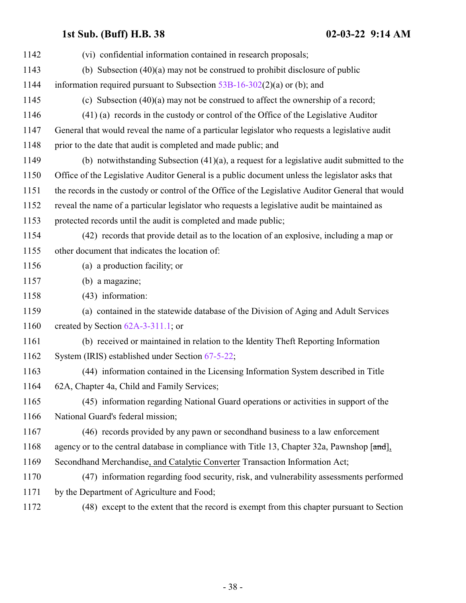| 1142 | (vi) confidential information contained in research proposals;                                    |
|------|---------------------------------------------------------------------------------------------------|
| 1143 | (b) Subsection $(40)(a)$ may not be construed to prohibit disclosure of public                    |
| 1144 | information required pursuant to Subsection $53B-16-302(2)(a)$ or (b); and                        |
| 1145 | (c) Subsection $(40)(a)$ may not be construed to affect the ownership of a record;                |
| 1146 | (41) (a) records in the custody or control of the Office of the Legislative Auditor               |
| 1147 | General that would reveal the name of a particular legislator who requests a legislative audit    |
| 1148 | prior to the date that audit is completed and made public; and                                    |
| 1149 | (b) notwithstanding Subsection $(41)(a)$ , a request for a legislative audit submitted to the     |
| 1150 | Office of the Legislative Auditor General is a public document unless the legislator asks that    |
| 1151 | the records in the custody or control of the Office of the Legislative Auditor General that would |
| 1152 | reveal the name of a particular legislator who requests a legislative audit be maintained as      |
| 1153 | protected records until the audit is completed and made public;                                   |
| 1154 | (42) records that provide detail as to the location of an explosive, including a map or           |
| 1155 | other document that indicates the location of:                                                    |
| 1156 | (a) a production facility; or                                                                     |
| 1157 | (b) a magazine;                                                                                   |
| 1158 | (43) information:                                                                                 |
| 1159 | (a) contained in the statewide database of the Division of Aging and Adult Services               |
| 1160 | created by Section $62A-3-311.1$ ; or                                                             |
| 1161 | (b) received or maintained in relation to the Identity Theft Reporting Information                |
| 1162 | System (IRIS) established under Section 67-5-22;                                                  |
| 1163 | (44) information contained in the Licensing Information System described in Title                 |
| 1164 | 62A, Chapter 4a, Child and Family Services;                                                       |
| 1165 | (45) information regarding National Guard operations or activities in support of the              |
| 1166 | National Guard's federal mission;                                                                 |
| 1167 | (46) records provided by any pawn or second hand business to a law enforcement                    |
| 1168 | agency or to the central database in compliance with Title 13, Chapter 32a, Pawnshop [and],       |
| 1169 | Secondhand Merchandise, and Catalytic Converter Transaction Information Act;                      |
| 1170 | (47) information regarding food security, risk, and vulnerability assessments performed           |
| 1171 | by the Department of Agriculture and Food;                                                        |
| 1172 | (48) except to the extent that the record is exempt from this chapter pursuant to Section         |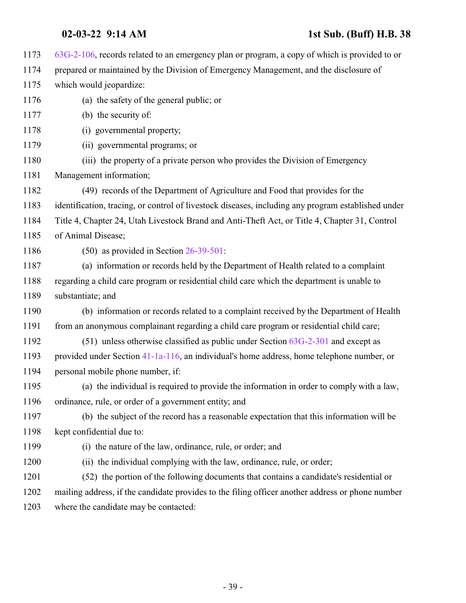| 1173 | $63G-2-106$ , records related to an emergency plan or program, a copy of which is provided to or   |
|------|----------------------------------------------------------------------------------------------------|
| 1174 | prepared or maintained by the Division of Emergency Management, and the disclosure of              |
| 1175 | which would jeopardize:                                                                            |
| 1176 | (a) the safety of the general public; or                                                           |
| 1177 | (b) the security of:                                                                               |
| 1178 | (i) governmental property;                                                                         |
| 1179 | (ii) governmental programs; or                                                                     |
| 1180 | (iii) the property of a private person who provides the Division of Emergency                      |
| 1181 | Management information;                                                                            |
| 1182 | (49) records of the Department of Agriculture and Food that provides for the                       |
| 1183 | identification, tracing, or control of livestock diseases, including any program established under |
| 1184 | Title 4, Chapter 24, Utah Livestock Brand and Anti-Theft Act, or Title 4, Chapter 31, Control      |
| 1185 | of Animal Disease;                                                                                 |
| 1186 | $(50)$ as provided in Section 26-39-501:                                                           |
| 1187 | (a) information or records held by the Department of Health related to a complaint                 |
| 1188 | regarding a child care program or residential child care which the department is unable to         |
| 1189 | substantiate; and                                                                                  |
| 1190 | (b) information or records related to a complaint received by the Department of Health             |
| 1191 | from an anonymous complainant regarding a child care program or residential child care;            |
| 1192 | $(51)$ unless otherwise classified as public under Section $63G-2-301$ and except as               |
| 1193 | provided under Section 41-1a-116, an individual's home address, home telephone number, or          |
| 1194 | personal mobile phone number, if:                                                                  |
| 1195 | (a) the individual is required to provide the information in order to comply with a law,           |
| 1196 | ordinance, rule, or order of a government entity; and                                              |
| 1197 | (b) the subject of the record has a reasonable expectation that this information will be           |
| 1198 | kept confidential due to:                                                                          |
| 1199 | (i) the nature of the law, ordinance, rule, or order; and                                          |
| 1200 | (ii) the individual complying with the law, ordinance, rule, or order;                             |
| 1201 | (52) the portion of the following documents that contains a candidate's residential or             |
| 1202 | mailing address, if the candidate provides to the filing officer another address or phone number   |
| 1203 | where the candidate may be contacted:                                                              |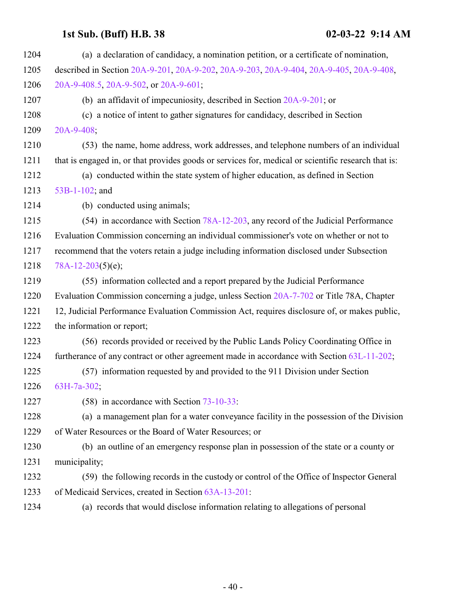| 1204 | (a) a declaration of candidacy, a nomination petition, or a certificate of nomination,              |
|------|-----------------------------------------------------------------------------------------------------|
| 1205 | described in Section 20A-9-201, 20A-9-202, 20A-9-203, 20A-9-404, 20A-9-405, 20A-9-408,              |
| 1206 | 20A-9-408.5, 20A-9-502, or 20A-9-601;                                                               |
| 1207 | (b) an affidavit of impecuniosity, described in Section 20A-9-201; or                               |
| 1208 | (c) a notice of intent to gather signatures for candidacy, described in Section                     |
| 1209 | $20A-9-408$ ;                                                                                       |
| 1210 | (53) the name, home address, work addresses, and telephone numbers of an individual                 |
| 1211 | that is engaged in, or that provides goods or services for, medical or scientific research that is: |
| 1212 | (a) conducted within the state system of higher education, as defined in Section                    |
| 1213 | 53B-1-102; and                                                                                      |
| 1214 | (b) conducted using animals;                                                                        |
| 1215 | (54) in accordance with Section 78A-12-203, any record of the Judicial Performance                  |
| 1216 | Evaluation Commission concerning an individual commissioner's vote on whether or not to             |
| 1217 | recommend that the voters retain a judge including information disclosed under Subsection           |
| 1218 | $78A-12-203(5)(e);$                                                                                 |
| 1219 | (55) information collected and a report prepared by the Judicial Performance                        |
| 1220 | Evaluation Commission concerning a judge, unless Section 20A-7-702 or Title 78A, Chapter            |
| 1221 | 12, Judicial Performance Evaluation Commission Act, requires disclosure of, or makes public,        |
| 1222 | the information or report;                                                                          |
| 1223 | (56) records provided or received by the Public Lands Policy Coordinating Office in                 |
| 1224 | furtherance of any contract or other agreement made in accordance with Section 63L-11-202;          |
| 1225 | (57) information requested by and provided to the 911 Division under Section                        |
| 1226 | $63H-7a-302$ ;                                                                                      |
| 1227 | $(58)$ in accordance with Section $73-10-33$ :                                                      |
| 1228 | (a) a management plan for a water conveyance facility in the possession of the Division             |
| 1229 | of Water Resources or the Board of Water Resources; or                                              |
| 1230 | (b) an outline of an emergency response plan in possession of the state or a county or              |
| 1231 | municipality;                                                                                       |
| 1232 | (59) the following records in the custody or control of the Office of Inspector General             |
| 1233 | of Medicaid Services, created in Section 63A-13-201:                                                |
| 1234 | (a) records that would disclose information relating to allegations of personal                     |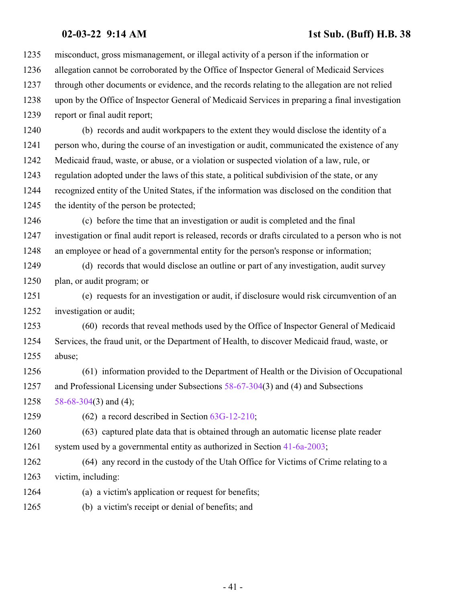misconduct, gross mismanagement, or illegal activity of a person if the information or allegation cannot be corroborated by the Office of Inspector General of Medicaid Services through other documents or evidence, and the records relating to the allegation are not relied upon by the Office of Inspector General of Medicaid Services in preparing a final investigation report or final audit report;

 (b) records and audit workpapers to the extent they would disclose the identity of a person who, during the course of an investigation or audit, communicated the existence of any Medicaid fraud, waste, or abuse, or a violation or suspected violation of a law, rule, or regulation adopted under the laws of this state, a political subdivision of the state, or any recognized entity of the United States, if the information was disclosed on the condition that the identity of the person be protected;

 (c) before the time that an investigation or audit is completed and the final investigation or final audit report is released, records or drafts circulated to a person who is not an employee or head of a governmental entity for the person's response or information;

 (d) records that would disclose an outline or part of any investigation, audit survey plan, or audit program; or

 (e) requests for an investigation or audit, if disclosure would risk circumvention of an investigation or audit;

 (60) records that reveal methods used by the Office of Inspector General of Medicaid Services, the fraud unit, or the Department of Health, to discover Medicaid fraud, waste, or abuse;

 (61) information provided to the Department of Health or the Division of Occupational and Professional Licensing under Subsections [58-67-304](http://le.utah.gov/UtahCode/SectionLookup.jsp?section=58-67-304&session=2022GS)(3) and (4) and Subsections 1258  $58-68-304(3)$  $58-68-304(3)$  and (4);

(62) a record described in Section [63G-12-210](http://le.utah.gov/UtahCode/SectionLookup.jsp?section=63g-12-210&session=2022GS);

 (63) captured plate data that is obtained through an automatic license plate reader system used by a governmental entity as authorized in Section [41-6a-2003](http://le.utah.gov/UtahCode/SectionLookup.jsp?section=41-6a-2003&session=2022GS);

 (64) any record in the custody of the Utah Office for Victims of Crime relating to a victim, including:

(a) a victim's application or request for benefits;

(b) a victim's receipt or denial of benefits; and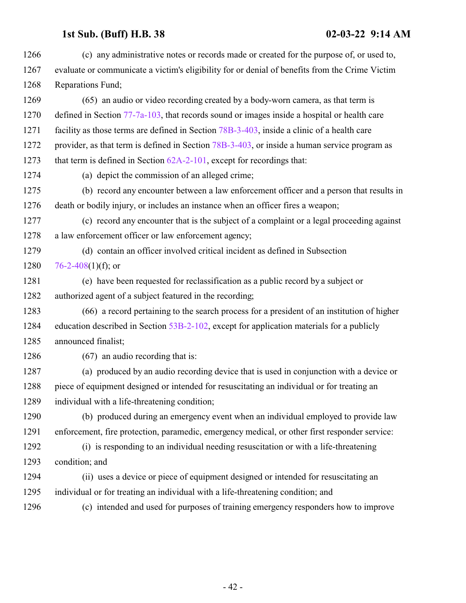| 1266 | (c) any administrative notes or records made or created for the purpose of, or used to,        |
|------|------------------------------------------------------------------------------------------------|
| 1267 | evaluate or communicate a victim's eligibility for or denial of benefits from the Crime Victim |
| 1268 | Reparations Fund;                                                                              |
| 1269 | (65) an audio or video recording created by a body-worn camera, as that term is                |
| 1270 | defined in Section $77-7a-103$ , that records sound or images inside a hospital or health care |
| 1271 | facility as those terms are defined in Section 78B-3-403, inside a clinic of a health care     |
| 1272 | provider, as that term is defined in Section 78B-3-403, or inside a human service program as   |
| 1273 | that term is defined in Section $62A-2-101$ , except for recordings that:                      |
| 1274 | (a) depict the commission of an alleged crime;                                                 |
| 1275 | (b) record any encounter between a law enforcement officer and a person that results in        |
| 1276 | death or bodily injury, or includes an instance when an officer fires a weapon;                |
| 1277 | (c) record any encounter that is the subject of a complaint or a legal proceeding against      |
| 1278 | a law enforcement officer or law enforcement agency;                                           |
| 1279 | (d) contain an officer involved critical incident as defined in Subsection                     |
| 1280 | 76-2-408(1)(f); or                                                                             |
| 1281 | (e) have been requested for reclassification as a public record by a subject or                |
| 1282 | authorized agent of a subject featured in the recording;                                       |
| 1283 | (66) a record pertaining to the search process for a president of an institution of higher     |
| 1284 | education described in Section 53B-2-102, except for application materials for a publicly      |
| 1285 | announced finalist;                                                                            |
| 1286 | $(67)$ an audio recording that is:                                                             |
| 1287 | (a) produced by an audio recording device that is used in conjunction with a device or         |
| 1288 | piece of equipment designed or intended for resuscitating an individual or for treating an     |
| 1289 | individual with a life-threatening condition;                                                  |
| 1290 | (b) produced during an emergency event when an individual employed to provide law              |
| 1291 | enforcement, fire protection, paramedic, emergency medical, or other first responder service:  |
| 1292 | (i) is responding to an individual needing resuscitation or with a life-threatening            |
| 1293 | condition; and                                                                                 |
| 1294 | (ii) uses a device or piece of equipment designed or intended for resuscitating an             |
| 1295 | individual or for treating an individual with a life-threatening condition; and                |
| 1296 | (c) intended and used for purposes of training emergency responders how to improve             |
|      |                                                                                                |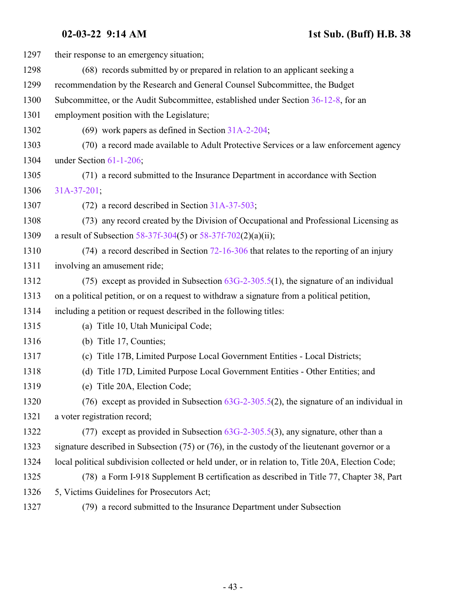| 1297 | their response to an emergency situation;                                                           |
|------|-----------------------------------------------------------------------------------------------------|
| 1298 | (68) records submitted by or prepared in relation to an applicant seeking a                         |
| 1299 | recommendation by the Research and General Counsel Subcommittee, the Budget                         |
| 1300 | Subcommittee, or the Audit Subcommittee, established under Section 36-12-8, for an                  |
| 1301 | employment position with the Legislature;                                                           |
| 1302 | (69) work papers as defined in Section $31A-2-204$ ;                                                |
| 1303 | (70) a record made available to Adult Protective Services or a law enforcement agency               |
| 1304 | under Section 61-1-206;                                                                             |
| 1305 | (71) a record submitted to the Insurance Department in accordance with Section                      |
| 1306 | $31A-37-201$ ;                                                                                      |
| 1307 | $(72)$ a record described in Section 31A-37-503;                                                    |
| 1308 | (73) any record created by the Division of Occupational and Professional Licensing as               |
| 1309 | a result of Subsection 58-37f-304(5) or $58-37f-702(2)(a)(ii)$ ;                                    |
| 1310 | $(74)$ a record described in Section 72-16-306 that relates to the reporting of an injury           |
| 1311 | involving an amusement ride;                                                                        |
| 1312 | (75) except as provided in Subsection $63G-2-305.5(1)$ , the signature of an individual             |
| 1313 | on a political petition, or on a request to withdraw a signature from a political petition,         |
| 1314 | including a petition or request described in the following titles:                                  |
| 1315 | (a) Title 10, Utah Municipal Code;                                                                  |
| 1316 | (b) Title 17, Counties;                                                                             |
| 1317 | (c) Title 17B, Limited Purpose Local Government Entities - Local Districts;                         |
| 1318 | Title 17D, Limited Purpose Local Government Entities - Other Entities; and<br>(d)                   |
| 1319 | (e) Title 20A, Election Code;                                                                       |
| 1320 | (76) except as provided in Subsection $63G-2-305.5(2)$ , the signature of an individual in          |
| 1321 | a voter registration record;                                                                        |
| 1322 | (77) except as provided in Subsection $63G-2-305.5(3)$ , any signature, other than a                |
| 1323 | signature described in Subsection $(75)$ or $(76)$ , in the custody of the lieutenant governor or a |
| 1324 | local political subdivision collected or held under, or in relation to, Title 20A, Election Code;   |
| 1325 | (78) a Form I-918 Supplement B certification as described in Title 77, Chapter 38, Part             |
| 1326 | 5, Victims Guidelines for Prosecutors Act;                                                          |
| 1327 | (79) a record submitted to the Insurance Department under Subsection                                |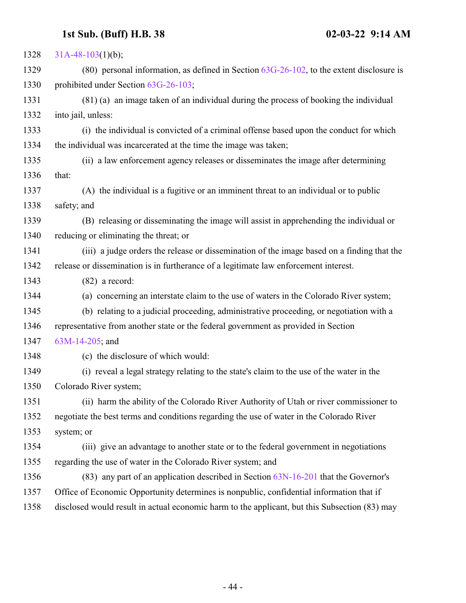| 1328 | $31A-48-103(1)(b);$                                                                           |
|------|-----------------------------------------------------------------------------------------------|
| 1329 | (80) personal information, as defined in Section $63G-26-102$ , to the extent disclosure is   |
| 1330 | prohibited under Section 63G-26-103;                                                          |
| 1331 | (81) (a) an image taken of an individual during the process of booking the individual         |
| 1332 | into jail, unless:                                                                            |
| 1333 | (i) the individual is convicted of a criminal offense based upon the conduct for which        |
| 1334 | the individual was incarcerated at the time the image was taken;                              |
| 1335 | (ii) a law enforcement agency releases or disseminates the image after determining            |
| 1336 | that:                                                                                         |
| 1337 | (A) the individual is a fugitive or an imminent threat to an individual or to public          |
| 1338 | safety; and                                                                                   |
| 1339 | (B) releasing or disseminating the image will assist in apprehending the individual or        |
| 1340 | reducing or eliminating the threat; or                                                        |
| 1341 | (iii) a judge orders the release or dissemination of the image based on a finding that the    |
| 1342 | release or dissemination is in furtherance of a legitimate law enforcement interest.          |
| 1343 | $(82)$ a record:                                                                              |
| 1344 | (a) concerning an interstate claim to the use of waters in the Colorado River system;         |
| 1345 | (b) relating to a judicial proceeding, administrative proceeding, or negotiation with a       |
| 1346 | representative from another state or the federal government as provided in Section            |
| 1347 | $63M-14-205$ ; and                                                                            |
| 1348 | (c) the disclosure of which would:                                                            |
| 1349 | (i) reveal a legal strategy relating to the state's claim to the use of the water in the      |
| 1350 | Colorado River system;                                                                        |
| 1351 | (ii) harm the ability of the Colorado River Authority of Utah or river commissioner to        |
| 1352 | negotiate the best terms and conditions regarding the use of water in the Colorado River      |
| 1353 | system; or                                                                                    |
| 1354 | (iii) give an advantage to another state or to the federal government in negotiations         |
| 1355 | regarding the use of water in the Colorado River system; and                                  |
| 1356 | $(83)$ any part of an application described in Section $63N-16-201$ that the Governor's       |
| 1357 | Office of Economic Opportunity determines is nonpublic, confidential information that if      |
| 1358 | disclosed would result in actual economic harm to the applicant, but this Subsection (83) may |
|      |                                                                                               |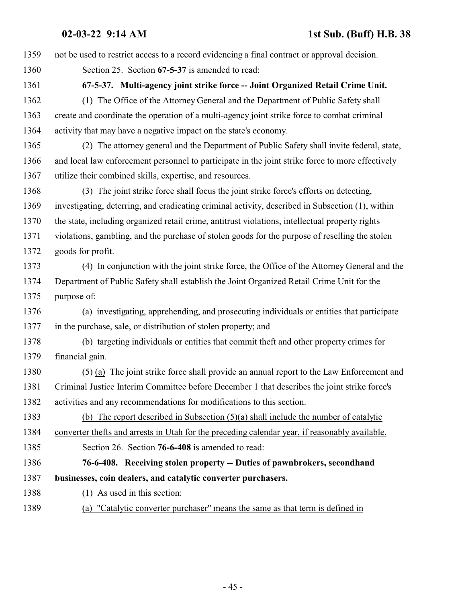<span id="page-44-1"></span><span id="page-44-0"></span> not be used to restrict access to a record evidencing a final contract or approval decision. Section 25. Section **67-5-37** is amended to read: **67-5-37. Multi-agency joint strike force -- Joint Organized Retail Crime Unit.** (1) The Office of the Attorney General and the Department of Public Safety shall create and coordinate the operation of a multi-agency joint strike force to combat criminal activity that may have a negative impact on the state's economy. (2) The attorney general and the Department of Public Safety shall invite federal, state, and local law enforcement personnel to participate in the joint strike force to more effectively utilize their combined skills, expertise, and resources. (3) The joint strike force shall focus the joint strike force's efforts on detecting, investigating, deterring, and eradicating criminal activity, described in Subsection (1), within the state, including organized retail crime, antitrust violations, intellectual property rights violations, gambling, and the purchase of stolen goods for the purpose of reselling the stolen goods for profit. (4) In conjunction with the joint strike force, the Office of the Attorney General and the Department of Public Safety shall establish the Joint Organized Retail Crime Unit for the purpose of: (a) investigating, apprehending, and prosecuting individuals or entities that participate in the purchase, sale, or distribution of stolen property; and (b) targeting individuals or entities that commit theft and other property crimes for financial gain. (5) (a) The joint strike force shall provide an annual report to the Law Enforcement and Criminal Justice Interim Committee before December 1 that describes the joint strike force's activities and any recommendations for modifications to this section. (b) The report described in Subsection (5)(a) shall include the number of catalytic converter thefts and arrests in Utah for the preceding calendar year, if reasonably available. Section 26. Section **76-6-408** is amended to read: **76-6-408. Receiving stolen property -- Duties of pawnbrokers, secondhand businesses, coin dealers, and catalytic converter purchasers.** (1) As used in this section: (a) "Catalytic converter purchaser" means the same as that term is defined in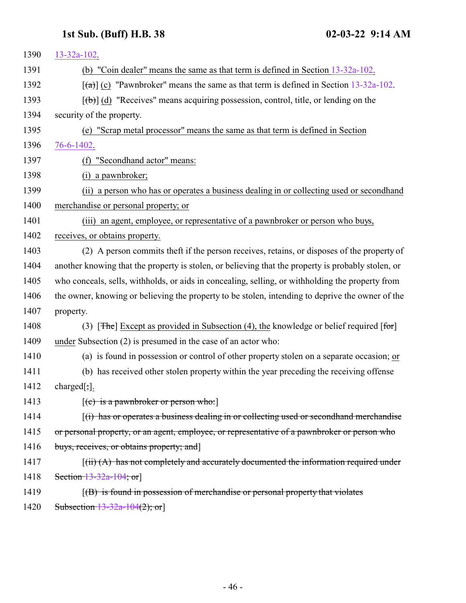| 1390 | $13 - 32a - 102$ .                                                                                                               |
|------|----------------------------------------------------------------------------------------------------------------------------------|
| 1391 | (b) "Coin dealer" means the same as that term is defined in Section 13-32a-102.                                                  |
| 1392 | $\left[\frac{1}{2}\right]$ (c) "Pawnbroker" means the same as that term is defined in Section 13-32a-102.                        |
| 1393 | $[\phi]$ (d) "Receives" means acquiring possession, control, title, or lending on the                                            |
| 1394 | security of the property.                                                                                                        |
| 1395 | (e) "Scrap metal processor" means the same as that term is defined in Section                                                    |
| 1396 | 76-6-1402.                                                                                                                       |
| 1397 | "Secondhand actor" means:<br>(f)                                                                                                 |
| 1398 | a pawnbroker;<br>(i)                                                                                                             |
| 1399 | (ii) a person who has or operates a business dealing in or collecting used or secondhand                                         |
| 1400 | merchandise or personal property; or                                                                                             |
| 1401 | (iii) an agent, employee, or representative of a pawnbroker or person who buys,                                                  |
| 1402 | receives, or obtains property.                                                                                                   |
| 1403 | (2) A person commits theft if the person receives, retains, or disposes of the property of                                       |
| 1404 | another knowing that the property is stolen, or believing that the property is probably stolen, or                               |
| 1405 | who conceals, sells, withholds, or aids in concealing, selling, or withholding the property from                                 |
| 1406 | the owner, knowing or believing the property to be stolen, intending to deprive the owner of the                                 |
| 1407 | property.                                                                                                                        |
| 1408 | [ $\overline{\text{The}}$ ] Except as provided in Subsection (4), the knowledge or belief required [for]<br>(3)                  |
| 1409 | under Subsection (2) is presumed in the case of an actor who:                                                                    |
| 1410 | (a) is found in possession or control of other property stolen on a separate occasion; or                                        |
| 1411 | (b) has received other stolen property within the year preceding the receiving offense                                           |
| 1412 | $charged$ ;].                                                                                                                    |
| 1413 | $[(c)$ is a pawnbroker or person who:                                                                                            |
| 1414 | $(i)$ has or operates a business dealing in or collecting used or second hand merchandise                                        |
| 1415 | or personal property, or an agent, employee, or representative of a pawnbroker or person who                                     |
| 1416 | buys, receives, or obtains property; and                                                                                         |
| 1417 | $\left[\left(\text{iii}\right)\left(A\right)\right]$ has not completely and accurately documented the information required under |
| 1418 | Section $13-32a-104$ ; or                                                                                                        |
| 1419 | $(6)$ is found in possession of merchandise or personal property that violates                                                   |
| 1420 | Subsection $13 - 32a - 104(2)$ ; or                                                                                              |
|      |                                                                                                                                  |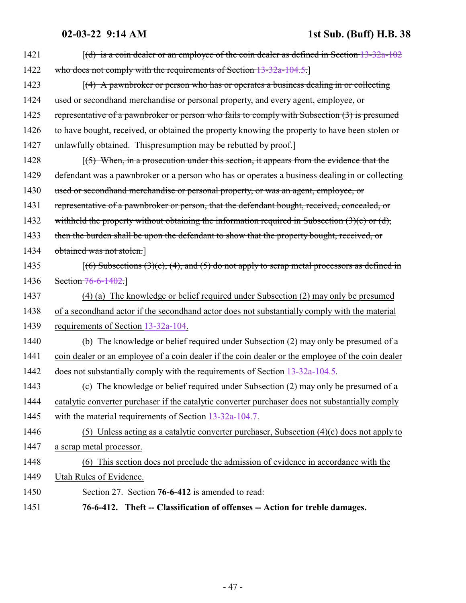<span id="page-46-0"></span>

| 1421 | $(d)$ is a coin dealer or an employee of the coin dealer as defined in Section 13-32a-102            |
|------|------------------------------------------------------------------------------------------------------|
| 1422 | who does not comply with the requirements of Section 13-32a-104.5.                                   |
| 1423 | $\lceil$ (4) A pawnbroker or person who has or operates a business dealing in or collecting          |
| 1424 | used or secondhand merchandise or personal property, and every agent, employee, or                   |
| 1425 | representative of a pawnbroker or person who fails to comply with Subsection (3) is presumed         |
| 1426 | to have bought, received, or obtained the property knowing the property to have been stolen or       |
| 1427 | unlawfully obtained. Thispresumption may be rebutted by proof.]                                      |
| 1428 | $(5)$ When, in a prosecution under this section, it appears from the evidence that the               |
| 1429 | defendant was a pawnbroker or a person who has or operates a business dealing in or collecting       |
| 1430 | used or secondhand merchandise or personal property, or was an agent, employee, or                   |
| 1431 | representative of a pawnbroker or person, that the defendant bought, received, concealed, or         |
| 1432 | withheld the property without obtaining the information required in Subsection $(3)(c)$ or $(d)$ ,   |
| 1433 | then the burden shall be upon the defendant to show that the property bought, received, or           |
| 1434 | obtained was not stolen.]                                                                            |
| 1435 | $[(6)$ Subsections $(3)(c)$ , $(4)$ , and $(5)$ do not apply to scrap metal processors as defined in |
| 1436 | Section 76-6-1402.]                                                                                  |
| 1437 | (4) (a) The knowledge or belief required under Subsection (2) may only be presumed                   |
| 1438 | of a second hand actor if the second hand actor does not substantially comply with the material      |
| 1439 | requirements of Section 13-32a-104.                                                                  |
| 1440 | (b) The knowledge or belief required under Subsection (2) may only be presumed of a                  |
| 1441 | coin dealer or an employee of a coin dealer if the coin dealer or the employee of the coin dealer    |
| 1442 | does not substantially comply with the requirements of Section 13-32a-104.5.                         |
| 1443 | (c) The knowledge or belief required under Subsection (2) may only be presumed of a                  |
| 1444 | catalytic converter purchaser if the catalytic converter purchaser does not substantially comply     |
| 1445 | with the material requirements of Section 13-32a-104.7.                                              |
| 1446 | (5) Unless acting as a catalytic converter purchaser, Subsection $(4)(c)$ does not apply to          |
| 1447 | a scrap metal processor.                                                                             |
| 1448 | (6) This section does not preclude the admission of evidence in accordance with the                  |
| 1449 | Utah Rules of Evidence.                                                                              |
| 1450 | Section 27. Section 76-6-412 is amended to read:                                                     |
| 1451 | 76-6-412. Theft -- Classification of offenses -- Action for treble damages.                          |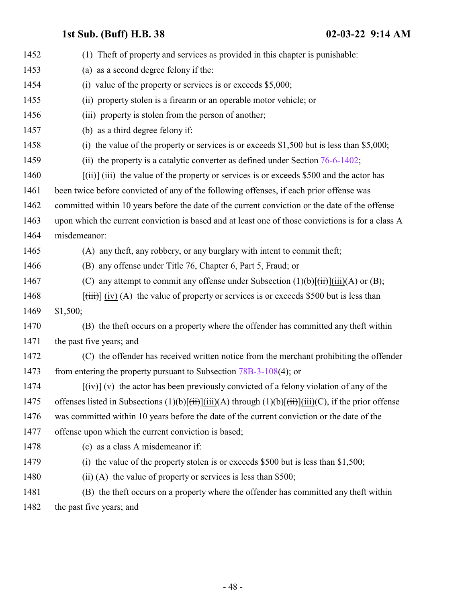| 1452 | (1) The ft of property and services as provided in this chapter is punishable:                                                                                                 |
|------|--------------------------------------------------------------------------------------------------------------------------------------------------------------------------------|
| 1453 | (a) as a second degree felony if the:                                                                                                                                          |
| 1454 | value of the property or services is or exceeds \$5,000;<br>(i)                                                                                                                |
| 1455 | (ii) property stolen is a firearm or an operable motor vehicle; or                                                                                                             |
| 1456 | (iii) property is stolen from the person of another;                                                                                                                           |
| 1457 | (b) as a third degree felony if:                                                                                                                                               |
| 1458 | (i) the value of the property or services is or exceeds $$1,500$ but is less than $$5,000$ ;                                                                                   |
| 1459 | the property is a catalytic converter as defined under Section $76-6-1402$ ;<br>(ii)                                                                                           |
| 1460 | $[\overrightarrow{tii}]$ (iii) the value of the property or services is or exceeds \$500 and the actor has                                                                     |
| 1461 | been twice before convicted of any of the following offenses, if each prior offense was                                                                                        |
| 1462 | committed within 10 years before the date of the current conviction or the date of the offense                                                                                 |
| 1463 | upon which the current conviction is based and at least one of those convictions is for a class A                                                                              |
| 1464 | misdemeanor:                                                                                                                                                                   |
| 1465 | (A) any theft, any robbery, or any burglary with intent to commit theft;                                                                                                       |
| 1466 | (B) any offense under Title 76, Chapter 6, Part 5, Fraud; or                                                                                                                   |
| 1467 | (C) any attempt to commit any offense under Subsection $(1)(b)[\overrightarrow{(ii)}](iii)(A)$ or $(B)$ ;                                                                      |
| 1468 | $[\overrightarrow{tiii}]$ (iv) (A) the value of property or services is or exceeds \$500 but is less than                                                                      |
| 1469 | \$1,500;                                                                                                                                                                       |
| 1470 | (B) the theft occurs on a property where the offender has committed any theft within                                                                                           |
| 1471 | the past five years; and                                                                                                                                                       |
| 1472 | (C) the offender has received written notice from the merchant prohibiting the offender                                                                                        |
| 1473 | from entering the property pursuant to Subsection $78B-3-108(4)$ ; or                                                                                                          |
| 1474 | $[\text{fiv}][(v)]$ the actor has been previously convicted of a felony violation of any of the                                                                                |
| 1475 | offenses listed in Subsections $(1)(b)[\overrightarrow{(ii)}](\overrightarrow{ii})(A)$ through $(1)(b)[\overrightarrow{(ii)}](\overrightarrow{iii})(C)$ , if the prior offense |
| 1476 | was committed within 10 years before the date of the current conviction or the date of the                                                                                     |
| 1477 | offense upon which the current conviction is based;                                                                                                                            |
| 1478 | (c) as a class A misdemeanor if:                                                                                                                                               |
| 1479 | (i) the value of the property stolen is or exceeds $$500$ but is less than $$1,500$ ;                                                                                          |
| 1480 | (ii) (A) the value of property or services is less than \$500;                                                                                                                 |
| 1481 | (B) the theft occurs on a property where the offender has committed any theft within                                                                                           |

1482 the past five years; and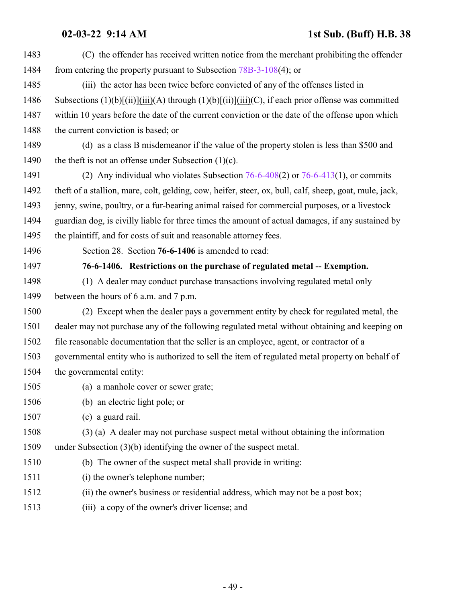<span id="page-48-0"></span>

| 1483 | (C) the offender has received written notice from the merchant prohibiting the offender                                                                                    |
|------|----------------------------------------------------------------------------------------------------------------------------------------------------------------------------|
| 1484 | from entering the property pursuant to Subsection $78B-3-108(4)$ ; or                                                                                                      |
| 1485 | (iii) the actor has been twice before convicted of any of the offenses listed in                                                                                           |
| 1486 | Subsections $(1)(b)[\overrightarrow{(ii)}](\overrightarrow{ii})(A)$ through $(1)(b)[\overrightarrow{(ii)}](\overrightarrow{iii})(C)$ , if each prior offense was committed |
| 1487 | within 10 years before the date of the current conviction or the date of the offense upon which                                                                            |
| 1488 | the current conviction is based; or                                                                                                                                        |
| 1489 | (d) as a class B misdemeanor if the value of the property stolen is less than \$500 and                                                                                    |
| 1490 | the theft is not an offense under Subsection $(1)(c)$ .                                                                                                                    |
| 1491 | (2) Any individual who violates Subsection $76-6-408(2)$ or $76-6-413(1)$ , or commits                                                                                     |
| 1492 | theft of a stallion, mare, colt, gelding, cow, heifer, steer, ox, bull, calf, sheep, goat, mule, jack,                                                                     |
| 1493 | jenny, swine, poultry, or a fur-bearing animal raised for commercial purposes, or a livestock                                                                              |
| 1494 | guardian dog, is civilly liable for three times the amount of actual damages, if any sustained by                                                                          |
| 1495 | the plaintiff, and for costs of suit and reasonable attorney fees.                                                                                                         |
| 1496 | Section 28. Section 76-6-1406 is amended to read:                                                                                                                          |
| 1497 | 76-6-1406. Restrictions on the purchase of regulated metal -- Exemption.                                                                                                   |
| 1498 | (1) A dealer may conduct purchase transactions involving regulated metal only                                                                                              |
| 1499 | between the hours of 6 a.m. and 7 p.m.                                                                                                                                     |
| 1500 | (2) Except when the dealer pays a government entity by check for regulated metal, the                                                                                      |
| 1501 | dealer may not purchase any of the following regulated metal without obtaining and keeping on                                                                              |
| 1502 | file reasonable documentation that the seller is an employee, agent, or contractor of a                                                                                    |
| 1503 | governmental entity who is authorized to sell the item of regulated metal property on behalf of                                                                            |
| 1504 | the governmental entity:                                                                                                                                                   |
| 1505 | (a) a manhole cover or sewer grate;                                                                                                                                        |
| 1506 | (b) an electric light pole; or                                                                                                                                             |
| 1507 | (c) a guard rail.                                                                                                                                                          |
| 1508 | (3) (a) A dealer may not purchase suspect metal without obtaining the information                                                                                          |
| 1509 | under Subsection $(3)(b)$ identifying the owner of the suspect metal.                                                                                                      |
| 1510 | (b) The owner of the suspect metal shall provide in writing:                                                                                                               |
| 1511 | (i) the owner's telephone number;                                                                                                                                          |
| 1512 | (ii) the owner's business or residential address, which may not be a post box;                                                                                             |
| 1513 | (iii) a copy of the owner's driver license; and                                                                                                                            |
|      |                                                                                                                                                                            |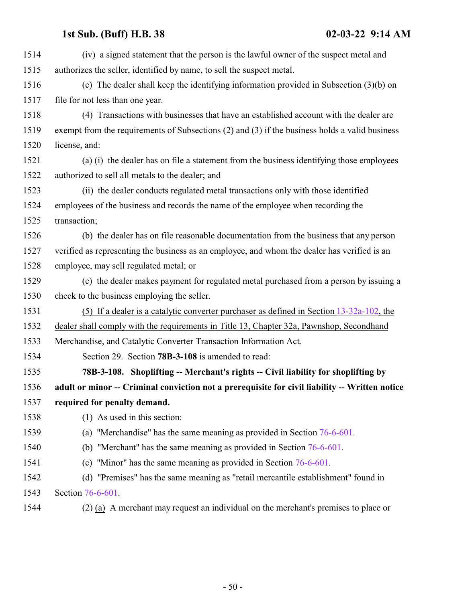<span id="page-49-0"></span>

| (iv) a signed statement that the person is the lawful owner of the suspect metal and<br>authorizes the seller, identified by name, to sell the suspect metal. |
|---------------------------------------------------------------------------------------------------------------------------------------------------------------|
|                                                                                                                                                               |
|                                                                                                                                                               |
| (c) The dealer shall keep the identifying information provided in Subsection $(3)(b)$ on                                                                      |
| file for not less than one year.                                                                                                                              |
| (4) Transactions with businesses that have an established account with the dealer are                                                                         |
| exempt from the requirements of Subsections (2) and (3) if the business holds a valid business                                                                |
| license, and:                                                                                                                                                 |
| (a) (i) the dealer has on file a statement from the business identifying those employees                                                                      |
| authorized to sell all metals to the dealer; and                                                                                                              |
| (ii) the dealer conducts regulated metal transactions only with those identified                                                                              |
| employees of the business and records the name of the employee when recording the                                                                             |
| transaction;                                                                                                                                                  |
| (b) the dealer has on file reasonable documentation from the business that any person                                                                         |
| verified as representing the business as an employee, and whom the dealer has verified is an                                                                  |
| employee, may sell regulated metal; or                                                                                                                        |
| (c) the dealer makes payment for regulated metal purchased from a person by issuing a                                                                         |
| check to the business employing the seller.                                                                                                                   |
| (5) If a dealer is a catalytic converter purchaser as defined in Section $13-32a-102$ , the                                                                   |
| dealer shall comply with the requirements in Title 13, Chapter 32a, Pawnshop, Secondhand                                                                      |
| Merchandise, and Catalytic Converter Transaction Information Act.                                                                                             |
| Section 29. Section 78B-3-108 is amended to read:                                                                                                             |
| 78B-3-108. Shoplifting -- Merchant's rights -- Civil liability for shoplifting by                                                                             |
| adult or minor -- Criminal conviction not a prerequisite for civil liability -- Written notice                                                                |
| required for penalty demand.                                                                                                                                  |
| (1) As used in this section:                                                                                                                                  |
| (a) "Merchandise" has the same meaning as provided in Section $76-6-601$ .                                                                                    |
| (b) "Merchant" has the same meaning as provided in Section $76-6-601$ .                                                                                       |
| (c) "Minor" has the same meaning as provided in Section $76-6-601$ .                                                                                          |
| (d) "Premises" has the same meaning as "retail mercantile establishment" found in                                                                             |
| Section 76-6-601.                                                                                                                                             |
| $(2)$ (a) A merchant may request an individual on the merchant's premises to place or                                                                         |
|                                                                                                                                                               |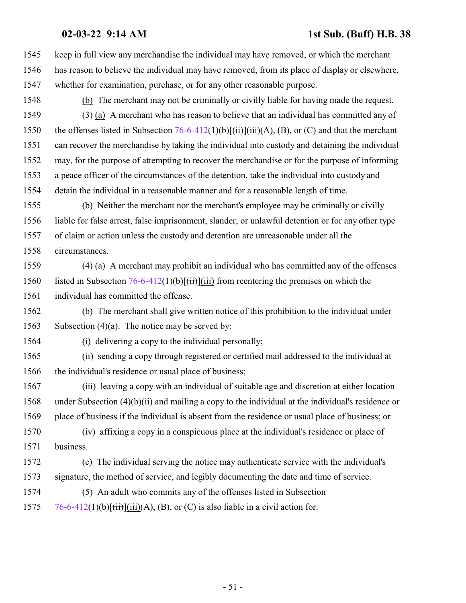keep in full view any merchandise the individual may have removed, or which the merchant has reason to believe the individual may have removed, from its place of display or elsewhere, whether for examination, purchase, or for any other reasonable purpose. (b) The merchant may not be criminally or civilly liable for having made the request. (3) (a) A merchant who has reason to believe that an individual has committed any of 1550 the offenses listed in Subsection  $76-6-412(1)(b)[(iii)(A), (B), or (C)$  and that the merchant can recover the merchandise by taking the individual into custody and detaining the individual may, for the purpose of attempting to recover the merchandise or for the purpose of informing a peace officer of the circumstances of the detention, take the individual into custody and detain the individual in a reasonable manner and for a reasonable length of time. (b) Neither the merchant nor the merchant's employee may be criminally or civilly liable for false arrest, false imprisonment, slander, or unlawful detention or for any other type of claim or action unless the custody and detention are unreasonable under all the circumstances. (4) (a) A merchant may prohibit an individual who has committed any of the offenses 1560 listed in Subsection  $76-6-412(1)(b)[(iii)]$  from reentering the premises on which the individual has committed the offense. (b) The merchant shall give written notice of this prohibition to the individual under Subsection (4)(a). The notice may be served by: (i) delivering a copy to the individual personally; (ii) sending a copy through registered or certified mail addressed to the individual at the individual's residence or usual place of business; (iii) leaving a copy with an individual of suitable age and discretion at either location under Subsection (4)(b)(ii) and mailing a copy to the individual at the individual's residence or place of business if the individual is absent from the residence or usual place of business; or (iv) affixing a copy in a conspicuous place at the individual's residence or place of business. (c) The individual serving the notice may authenticate service with the individual's signature, the method of service, and legibly documenting the date and time of service. (5) An adult who commits any of the offenses listed in Subsection  $\frac{76-6-412(1)(b)[\overrightarrow{iii}]}{(\overrightarrow{ii})}$  $\frac{76-6-412(1)(b)[\overrightarrow{iii}]}{(\overrightarrow{ii})}$  $\frac{76-6-412(1)(b)[\overrightarrow{iii}]}{(\overrightarrow{ii})}$ (iii)(A), (B), or (C) is also liable in a civil action for: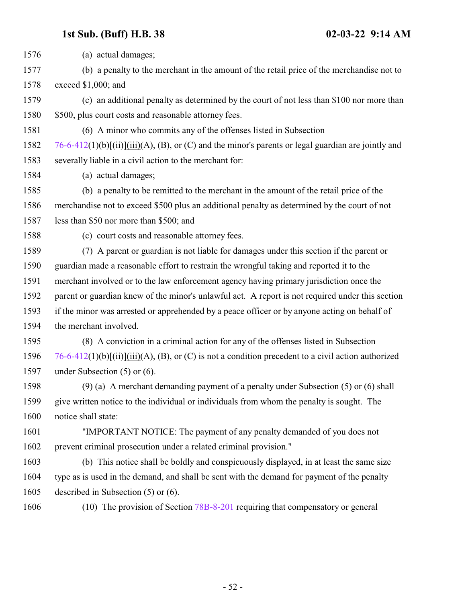(a) actual damages; (b) a penalty to the merchant in the amount of the retail price of the merchandise not to exceed \$1,000; and (c) an additional penalty as determined by the court of not less than \$100 nor more than \$500, plus court costs and reasonable attorney fees. (6) A minor who commits any of the offenses listed in Subsection [76-6-412](#page-46-0)(1)(b) $[\overrightarrow{t})$ (iii)(A), (B), or (C) and the minor's parents or legal guardian are jointly and severally liable in a civil action to the merchant for: (a) actual damages; (b) a penalty to be remitted to the merchant in the amount of the retail price of the merchandise not to exceed \$500 plus an additional penalty as determined by the court of not less than \$50 nor more than \$500; and (c) court costs and reasonable attorney fees. (7) A parent or guardian is not liable for damages under this section if the parent or guardian made a reasonable effort to restrain the wrongful taking and reported it to the merchant involved or to the law enforcement agency having primary jurisdiction once the parent or guardian knew of the minor's unlawful act. A report is not required under this section if the minor was arrested or apprehended by a peace officer or by anyone acting on behalf of the merchant involved. (8) A conviction in a criminal action for any of the offenses listed in Subsection [76-6-412](#page-46-0)(1)(b) $[\overrightarrow{t})$ (iii)(A), (B), or (C) is not a condition precedent to a civil action authorized under Subsection (5) or (6). (9) (a) A merchant demanding payment of a penalty under Subsection (5) or (6) shall give written notice to the individual or individuals from whom the penalty is sought. The notice shall state: "IMPORTANT NOTICE: The payment of any penalty demanded of you does not prevent criminal prosecution under a related criminal provision." (b) This notice shall be boldly and conspicuously displayed, in at least the same size type as is used in the demand, and shall be sent with the demand for payment of the penalty described in Subsection (5) or (6). (10) The provision of Section [78B-8-201](http://le.utah.gov/UtahCode/SectionLookup.jsp?section=78b-8-201&session=2022GS) requiring that compensatory or general